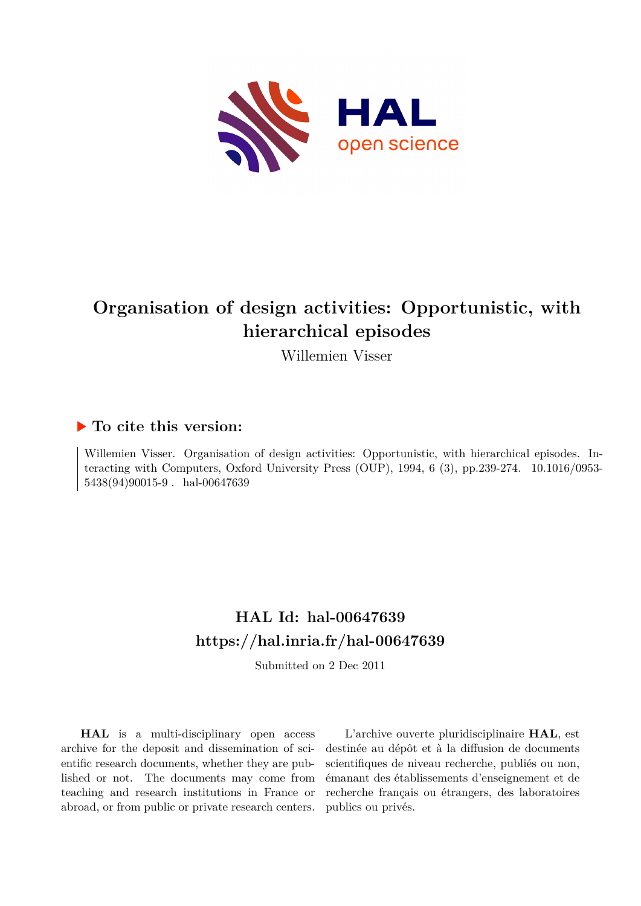

# **Organisation of design activities: Opportunistic, with hierarchical episodes**

Willemien Visser

### **To cite this version:**

Willemien Visser. Organisation of design activities: Opportunistic, with hierarchical episodes. Interacting with Computers, Oxford University Press (OUP),  $1994, 6$  (3), pp.239-274.  $10.1016/0953-$ 5438(94)90015-9. hal-00647639

## **HAL Id: hal-00647639 <https://hal.inria.fr/hal-00647639>**

Submitted on 2 Dec 2011

**HAL** is a multi-disciplinary open access archive for the deposit and dissemination of scientific research documents, whether they are published or not. The documents may come from teaching and research institutions in France or abroad, or from public or private research centers.

L'archive ouverte pluridisciplinaire **HAL**, est destinée au dépôt et à la diffusion de documents scientifiques de niveau recherche, publiés ou non, émanant des établissements d'enseignement et de recherche français ou étrangers, des laboratoires publics ou privés.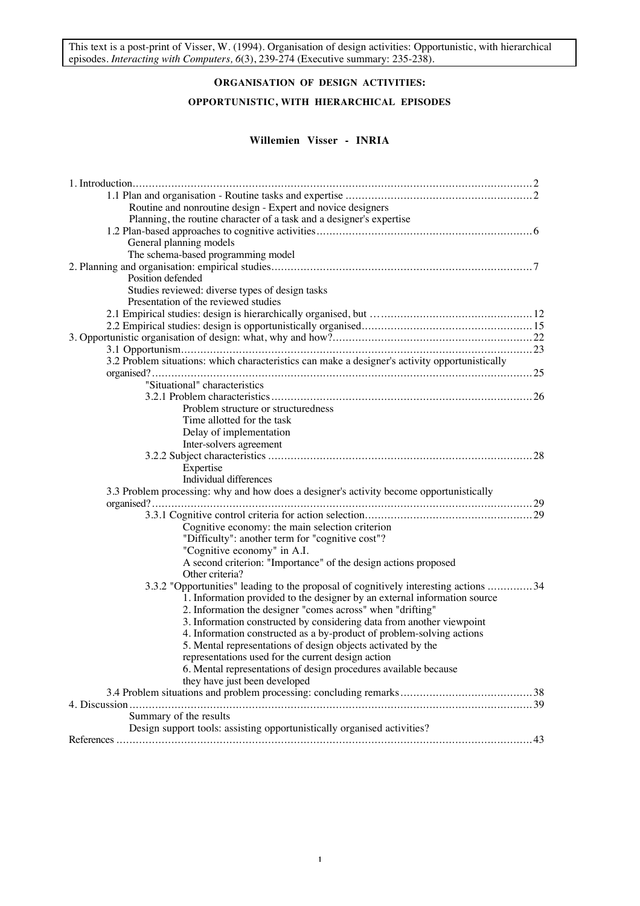### **ORGANISATION OF DESIGN ACTIVITIES:**

### **OPPORTUNISTIC, WITH HIERARCHICAL EPISODES**

### **Willemien Visser - INRIA**

| Routine and nonroutine design - Expert and novice designers                                    |  |
|------------------------------------------------------------------------------------------------|--|
| Planning, the routine character of a task and a designer's expertise                           |  |
|                                                                                                |  |
| General planning models                                                                        |  |
| The schema-based programming model                                                             |  |
|                                                                                                |  |
| Position defended                                                                              |  |
| Studies reviewed: diverse types of design tasks                                                |  |
| Presentation of the reviewed studies                                                           |  |
|                                                                                                |  |
|                                                                                                |  |
|                                                                                                |  |
|                                                                                                |  |
| 3.2 Problem situations: which characteristics can make a designer's activity opportunistically |  |
|                                                                                                |  |
| "Situational" characteristics                                                                  |  |
|                                                                                                |  |
| Problem structure or structuredness                                                            |  |
| Time allotted for the task                                                                     |  |
| Delay of implementation                                                                        |  |
| Inter-solvers agreement                                                                        |  |
|                                                                                                |  |
| Expertise                                                                                      |  |
| Individual differences                                                                         |  |
| 3.3 Problem processing: why and how does a designer's activity become opportunistically        |  |
|                                                                                                |  |
|                                                                                                |  |
| Cognitive economy: the main selection criterion                                                |  |
| "Difficulty": another term for "cognitive cost"?                                               |  |
| "Cognitive economy" in A.I.                                                                    |  |
| A second criterion: "Importance" of the design actions proposed                                |  |
| Other criteria?                                                                                |  |
| 3.3.2 "Opportunities" leading to the proposal of cognitively interesting actions 34            |  |
| 1. Information provided to the designer by an external information source                      |  |
| 2. Information the designer "comes across" when "drifting"                                     |  |
| 3. Information constructed by considering data from another viewpoint                          |  |
| 4. Information constructed as a by-product of problem-solving actions                          |  |
| 5. Mental representations of design objects activated by the                                   |  |
| representations used for the current design action                                             |  |
| 6. Mental representations of design procedures available because                               |  |
| they have just been developed                                                                  |  |
|                                                                                                |  |
|                                                                                                |  |
| Summary of the results                                                                         |  |
| Design support tools: assisting opportunistically organised activities?                        |  |
|                                                                                                |  |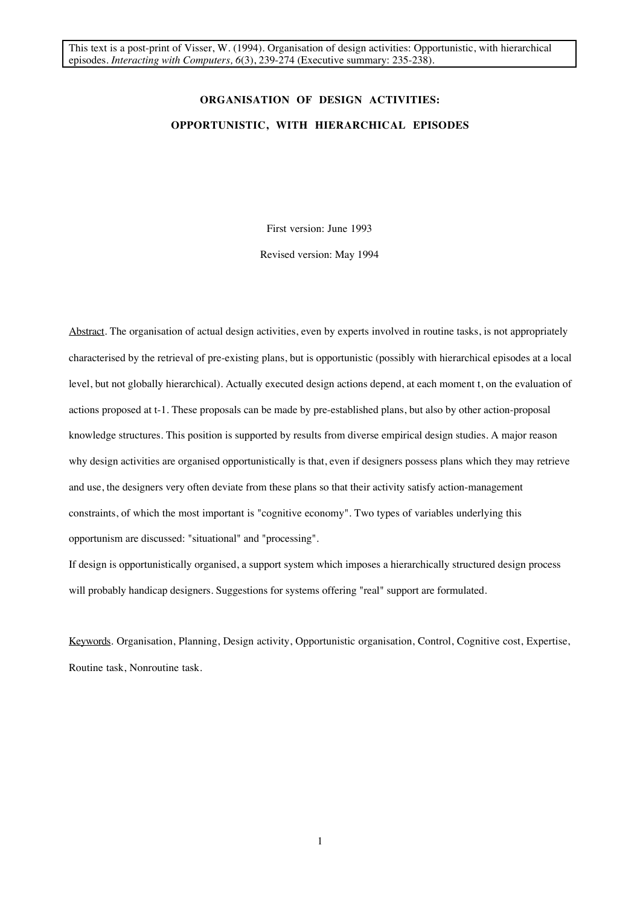## **ORGANISATION OF DESIGN ACTIVITIES: OPPORTUNISTIC, WITH HIERARCHICAL EPISODES**

First version: June 1993

Revised version: May 1994

Abstract. The organisation of actual design activities, even by experts involved in routine tasks, is not appropriately characterised by the retrieval of pre-existing plans, but is opportunistic (possibly with hierarchical episodes at a local level, but not globally hierarchical). Actually executed design actions depend, at each moment t, on the evaluation of actions proposed at t-1. These proposals can be made by pre-established plans, but also by other action-proposal knowledge structures. This position is supported by results from diverse empirical design studies. A major reason why design activities are organised opportunistically is that, even if designers possess plans which they may retrieve and use, the designers very often deviate from these plans so that their activity satisfy action-management constraints, of which the most important is "cognitive economy". Two types of variables underlying this opportunism are discussed: "situational" and "processing".

If design is opportunistically organised, a support system which imposes a hierarchically structured design process will probably handicap designers. Suggestions for systems offering "real" support are formulated.

Keywords. Organisation, Planning, Design activity, Opportunistic organisation, Control, Cognitive cost, Expertise, Routine task, Nonroutine task.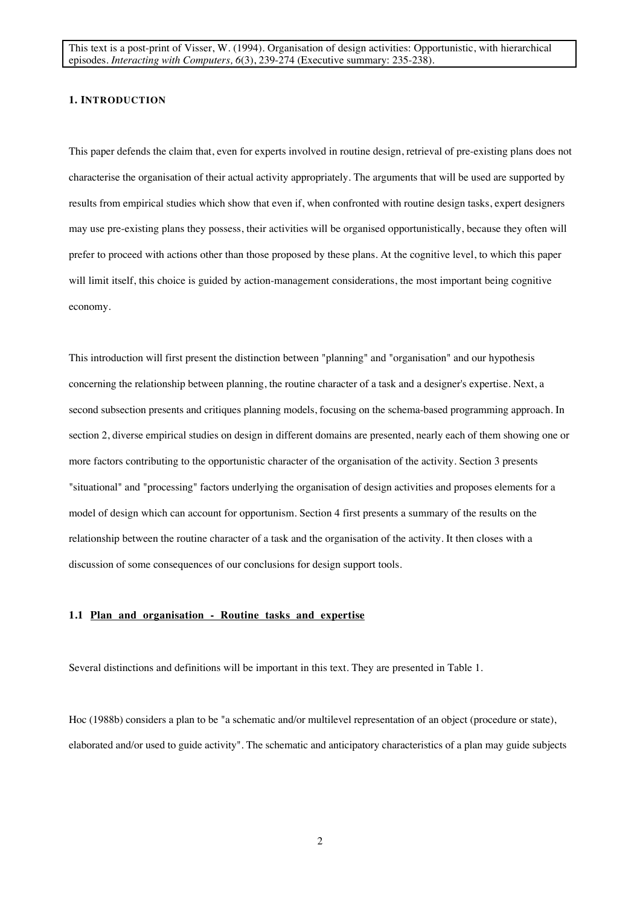#### **1. INTRODUCTION**

This paper defends the claim that, even for experts involved in routine design, retrieval of pre-existing plans does not characterise the organisation of their actual activity appropriately. The arguments that will be used are supported by results from empirical studies which show that even if, when confronted with routine design tasks, expert designers may use pre-existing plans they possess, their activities will be organised opportunistically, because they often will prefer to proceed with actions other than those proposed by these plans. At the cognitive level, to which this paper will limit itself, this choice is guided by action-management considerations, the most important being cognitive economy.

This introduction will first present the distinction between "planning" and "organisation" and our hypothesis concerning the relationship between planning, the routine character of a task and a designer's expertise. Next, a second subsection presents and critiques planning models, focusing on the schema-based programming approach. In section 2, diverse empirical studies on design in different domains are presented, nearly each of them showing one or more factors contributing to the opportunistic character of the organisation of the activity. Section 3 presents "situational" and "processing" factors underlying the organisation of design activities and proposes elements for a model of design which can account for opportunism. Section 4 first presents a summary of the results on the relationship between the routine character of a task and the organisation of the activity. It then closes with a discussion of some consequences of our conclusions for design support tools.

#### **1.1 Plan and organisation - Routine tasks and expertise**

Several distinctions and definitions will be important in this text. They are presented in Table 1.

Hoc (1988b) considers a plan to be "a schematic and/or multilevel representation of an object (procedure or state), elaborated and/or used to guide activity". The schematic and anticipatory characteristics of a plan may guide subjects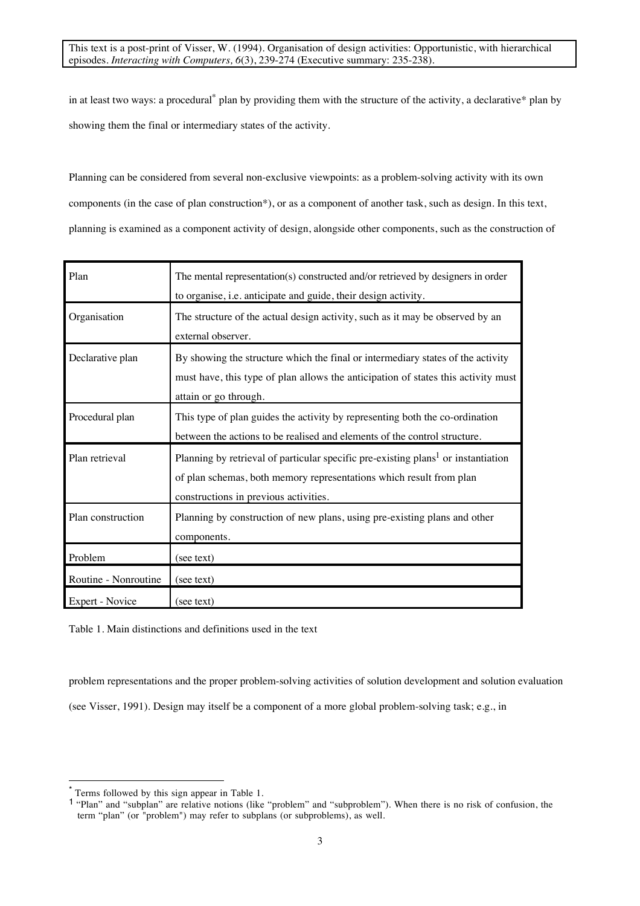in at least two ways: a procedural\* plan by providing them with the structure of the activity, a declarative\* plan by showing them the final or intermediary states of the activity.

Planning can be considered from several non-exclusive viewpoints: as a problem-solving activity with its own components (in the case of plan construction\*), or as a component of another task, such as design. In this text, planning is examined as a component activity of design, alongside other components, such as the construction of

| Plan                 | The mental representation(s) constructed and/or retrieved by designers in order<br>to organise, i.e. anticipate and guide, their design activity.                                                             |
|----------------------|---------------------------------------------------------------------------------------------------------------------------------------------------------------------------------------------------------------|
| Organisation         | The structure of the actual design activity, such as it may be observed by an<br>external observer.                                                                                                           |
| Declarative plan     | By showing the structure which the final or intermediary states of the activity<br>must have, this type of plan allows the anticipation of states this activity must<br>attain or go through.                 |
| Procedural plan      | This type of plan guides the activity by representing both the co-ordination<br>between the actions to be realised and elements of the control structure.                                                     |
| Plan retrieval       | Planning by retrieval of particular specific pre-existing plans <sup>1</sup> or instantiation<br>of plan schemas, both memory representations which result from plan<br>constructions in previous activities. |
| Plan construction    | Planning by construction of new plans, using pre-existing plans and other<br>components.                                                                                                                      |
| Problem              | (see text)                                                                                                                                                                                                    |
| Routine - Nonroutine | (see text)                                                                                                                                                                                                    |
| Expert - Novice      | (see text)                                                                                                                                                                                                    |

Table 1. Main distinctions and definitions used in the text

problem representations and the proper problem-solving activities of solution development and solution evaluation (see Visser, 1991). Design may itself be a component of a more global problem-solving task; e.g., in

 $\overline{a}$ 

Terms followed by this sign appear in Table 1.

<sup>1</sup> "Plan" and "subplan" are relative notions (like "problem" and "subproblem"). When there is no risk of confusion, the term "plan" (or "problem") may refer to subplans (or subproblems), as well.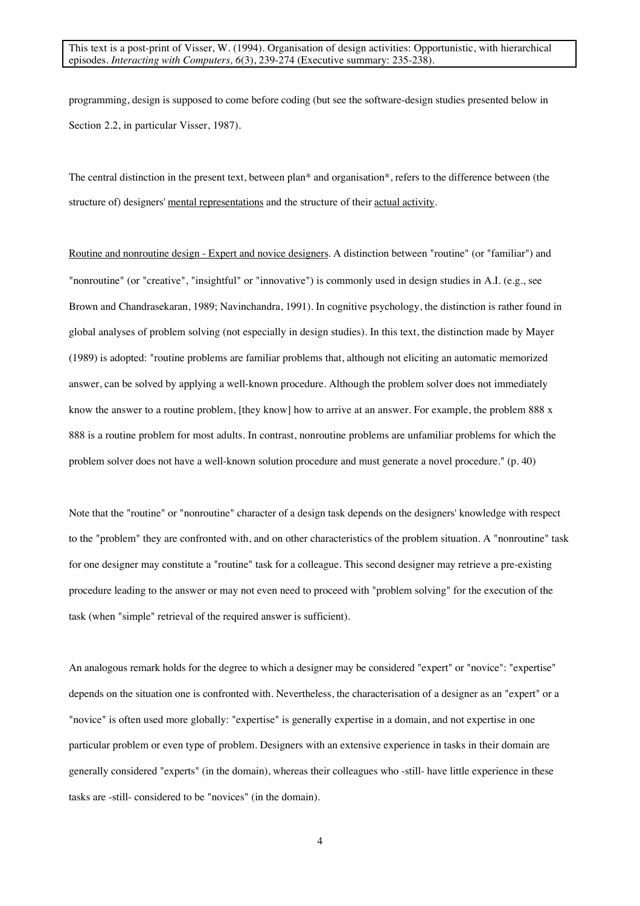programming, design is supposed to come before coding (but see the software-design studies presented below in Section 2.2, in particular Visser, 1987).

The central distinction in the present text, between plan\* and organisation\*, refers to the difference between (the structure of) designers' mental representations and the structure of their actual activity.

Routine and nonroutine design - Expert and novice designers . A distinction between "routine" (or "familiar") and "nonroutine" (or "creative", "insightful" or "innovative") is commonly used in design studies in A.I. (e.g., see Brown and Chandrasekaran, 1989; Navinchandra, 1991). In cognitive psychology, the distinction is rather found in global analyses of problem solving (not especially in design studies). In this text, the distinction made by Mayer (1989) is adopted: "routine problems are familiar problems that, although not eliciting an automatic memorized answer, can be solved by applying a well-known procedure. Although the problem solver does not immediately know the answer to a routine problem, [they know] how to arrive at an answer. For example, the problem 888 x 888 is a routine problem for most adults. In contrast, nonroutine problems are unfamiliar problems for which the problem solver does not have a well-known solution procedure and must generate a novel procedure." (p. 40)

Note that the "routine" or "nonroutine" character of a design task depends on the designers' knowledge with respect to the "problem" they are confronted with, and on other characteristics of the problem situation. A "nonroutine" task for one designer may constitute a "routine" task for a colleague. This second designer may retrieve a pre-existing procedure leading to the answer or may not even need to proceed with "problem solving" for the execution of the task (when "simple" retrieval of the required answer is sufficient).

An analogous remark holds for the degree to which a designer may be considered "expert" or "novice": "expertise" depends on the situation one is confronted with. Nevertheless, the characterisation of a designer as an "expert" or a "novice" is often used more globally: "expertise" is generally expertise in a domain, and not expertise in one particular problem or even type of problem. Designers with an extensive experience in tasks in their domain are generally considered "experts" (in the domain), whereas their colleagues who -still- have little experience in these tasks are -still- considered to be "novices" (in the domain).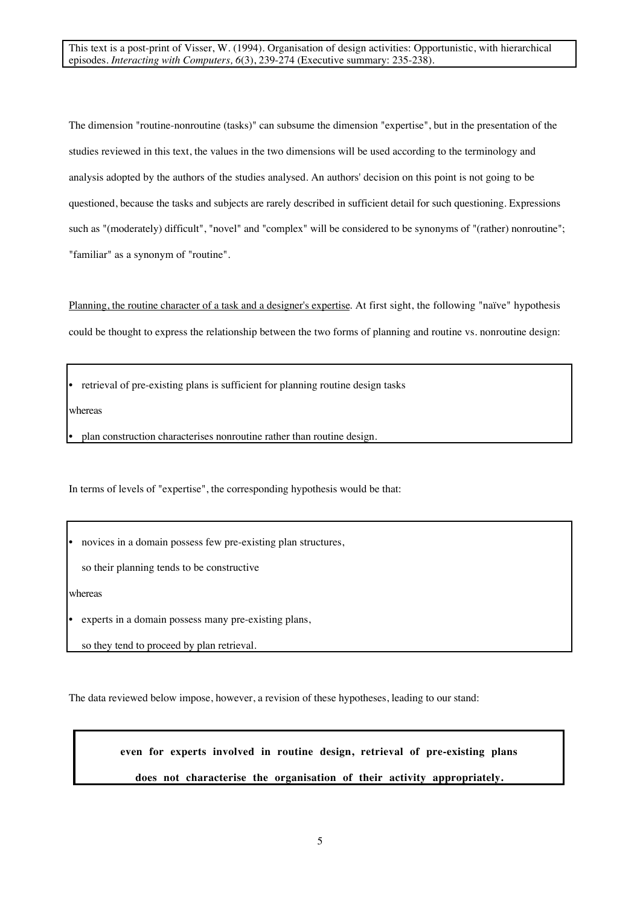The dimension "routine-nonroutine (tasks)" can subsume the dimension "expertise", but in the presentation of the studies reviewed in this text, the values in the two dimensions will be used according to the terminology and analysis adopted by the authors of the studies analysed. An authors' decision on this point is not going to be questioned, because the tasks and subjects are rarely described in sufficient detail for such questioning. Expressions such as "(moderately) difficult", "novel" and "complex" will be considered to be synonyms of "(rather) nonroutine"; "familiar" as a synonym of "routine".

Planning, the routine character of a task and a designer's expertise. At first sight, the following "naïve" hypothesis could be thought to express the relationship between the two forms of planning and routine vs. nonroutine design:

• retrieval of pre-existing plans is sufficient for planning routine design tasks

whereas

• plan construction characterises nonroutine rather than routine design.

In terms of levels of "expertise", the corresponding hypothesis would be that:

• novices in a domain possess few pre-existing plan structures,

so their planning tends to be constructive

whereas

• experts in a domain possess many pre-existing plans,

so they tend to proceed by plan retrieval.

The data reviewed below impose, however, a revision of these hypotheses, leading to our stand:

**even for experts involved in routine design, retrieval of pre-existing plans**

**does not characterise the organisation of their activity appropriately.**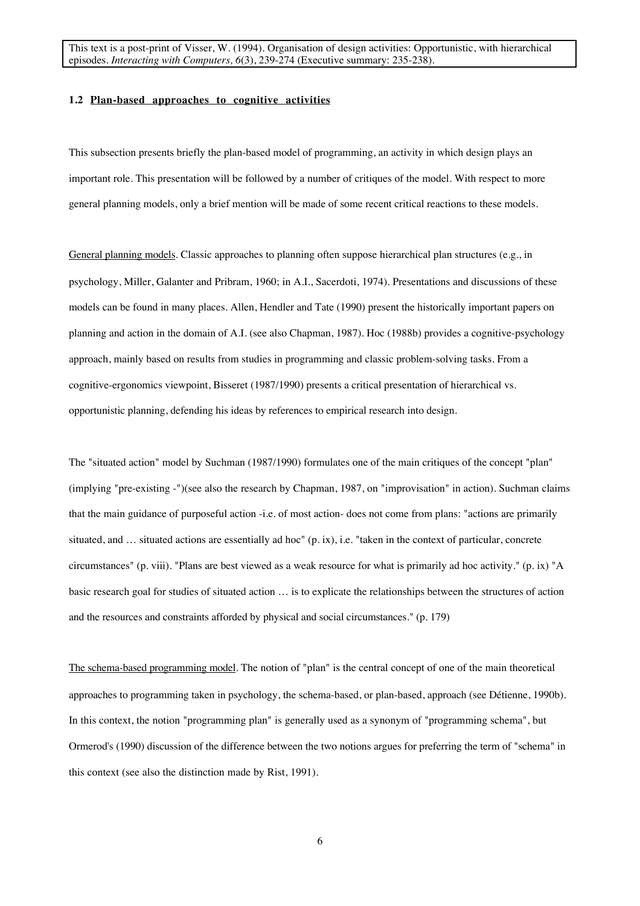#### **1.2 Plan-based approaches to cognitive activities**

This subsection presents briefly the plan-based model of programming, an activity in which design plays an important role. This presentation will be followed by a number of critiques of the model. With respect to more general planning models, only a brief mention will be made of some recent critical reactions to these models.

General planning models. Classic approaches to planning often suppose hierarchical plan structures (e.g., in psychology, Miller, Galanter and Pribram, 1960; in A.I., Sacerdoti, 1974). Presentations and discussions of these models can be found in many places. Allen, Hendler and Tate (1990) present the historically important papers on planning and action in the domain of A.I. (see also Chapman, 1987). Hoc (1988b) provides a cognitive-psychology approach, mainly based on results from studies in programming and classic problem-solving tasks. From a cognitive-ergonomics viewpoint, Bisseret (1987/1990) presents a critical presentation of hierarchical vs. opportunistic planning, defending his ideas by references to empirical research into design.

The "situated action" model by Suchman (1987/1990) formulates one of the main critiques of the concept "plan" (implying "pre-existing -")(see also the research by Chapman, 1987, on "improvisation" in action). Suchman claims that the main guidance of purposeful action -i.e. of most action- does not come from plans: "actions are primarily situated, and … situated actions are essentially ad hoc" (p. ix), i.e. "taken in the context of particular, concrete circumstances" (p. viii). "Plans are best viewed as a weak resource for what is primarily ad hoc activity." (p. ix) "A basic research goal for studies of situated action … is to explicate the relationships between the structures of action and the resources and constraints afforded by physical and social circumstances." (p. 179)

The schema-based programming model. The notion of "plan" is the central concept of one of the main theoretical approaches to programming taken in psychology, the schema-based, or plan-based, approach (see Détienne, 1990b). In this context, the notion "programming plan" is generally used as a synonym of "programming schema", but Ormerod's (1990) discussion of the difference between the two notions argues for preferring the term of "schema" in this context (see also the distinction made by Rist, 1991).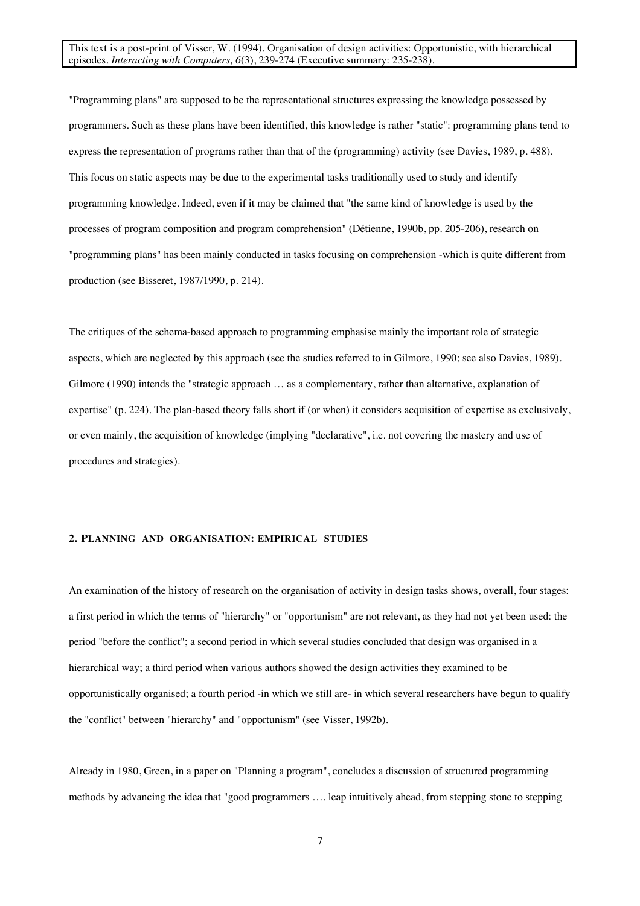"Programming plans" are supposed to be the representational structures expressing the knowledge possessed by programmers. Such as these plans have been identified, this knowledge is rather "static": programming plans tend to express the representation of programs rather than that of the (programming) activity (see Davies, 1989, p. 488). This focus on static aspects may be due to the experimental tasks traditionally used to study and identify programming knowledge. Indeed, even if it may be claimed that "the same kind of knowledge is used by the processes of program composition and program comprehension" (Détienne, 1990b, pp. 205-206), research on "programming plans" has been mainly conducted in tasks focusing on comprehension -which is quite different from production (see Bisseret, 1987/1990, p. 214).

The critiques of the schema-based approach to programming emphasise mainly the important role of strategic aspects, which are neglected by this approach (see the studies referred to in Gilmore, 1990; see also Davies, 1989). Gilmore (1990) intends the "strategic approach … as a complementary, rather than alternative, explanation of expertise" (p. 224). The plan-based theory falls short if (or when) it considers acquisition of expertise as exclusively, or even mainly, the acquisition of knowledge (implying "declarative", i.e. not covering the mastery and use of procedures and strategies).

#### **2. PLANNING AND ORGANISATION: EMPIRICAL STUDIES**

An examination of the history of research on the organisation of activity in design tasks shows, overall, four stages: a first period in which the terms of "hierarchy" or "opportunism" are not relevant, as they had not yet been used: the period "before the conflict"; a second period in which several studies concluded that design was organised in a hierarchical way; a third period when various authors showed the design activities they examined to be opportunistically organised; a fourth period -in which we still are- in which several researchers have begun to qualify the "conflict" between "hierarchy" and "opportunism" (see Visser, 1992b).

Already in 1980, Green, in a paper on "Planning a program", concludes a discussion of structured programming methods by advancing the idea that "good programmers …. leap intuitively ahead, from stepping stone to stepping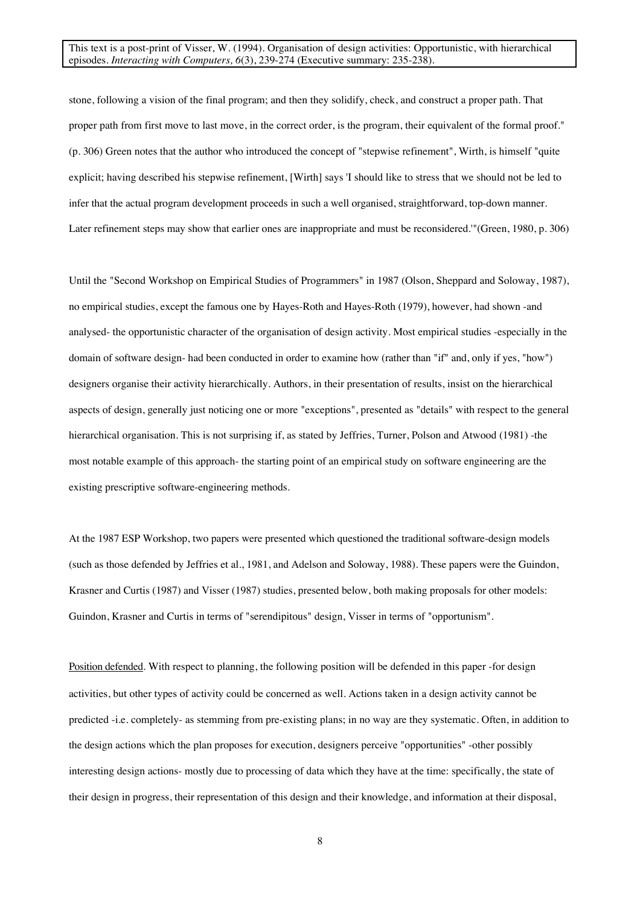stone, following a vision of the final program; and then they solidify, check, and construct a proper path. That proper path from first move to last move, in the correct order, is the program, their equivalent of the formal proof." (p. 306) Green notes that the author who introduced the concept of "stepwise refinement", Wirth, is himself "quite explicit; having described his stepwise refinement, [Wirth] says 'I should like to stress that we should not be led to infer that the actual program development proceeds in such a well organised, straightforward, top-down manner. Later refinement steps may show that earlier ones are inappropriate and must be reconsidered.'"(Green, 1980, p. 306)

Until the "Second Workshop on Empirical Studies of Programmers" in 1987 (Olson, Sheppard and Soloway, 1987), no empirical studies, except the famous one by Hayes-Roth and Hayes-Roth (1979), however, had shown -and analysed- the opportunistic character of the organisation of design activity. Most empirical studies -especially in the domain of software design- had been conducted in order to examine how (rather than "if" and, only if yes, "how") designers organise their activity hierarchically. Authors, in their presentation of results, insist on the hierarchical aspects of design, generally just noticing one or more "exceptions", presented as "details" with respect to the general hierarchical organisation. This is not surprising if, as stated by Jeffries, Turner, Polson and Atwood (1981) -the most notable example of this approach- the starting point of an empirical study on software engineering are the existing prescriptive software-engineering methods.

At the 1987 ESP Workshop, two papers were presented which questioned the traditional software-design models (such as those defended by Jeffries et al., 1981, and Adelson and Soloway, 1988). These papers were the Guindon, Krasner and Curtis (1987) and Visser (1987) studies, presented below, both making proposals for other models: Guindon, Krasner and Curtis in terms of "serendipitous" design, Visser in terms of "opportunism".

Position defended . With respect to planning, the following position will be defended in this paper -for design activities, but other types of activity could be concerned as well. Actions taken in a design activity cannot be predicted -i.e. completely- as stemming from pre-existing plans; in no way are they systematic. Often, in addition to the design actions which the plan proposes for execution, designers perceive "opportunities" -other possibly interesting design actions- mostly due to processing of data which they have at the time: specifically, the state of their design in progress, their representation of this design and their knowledge, and information at their disposal,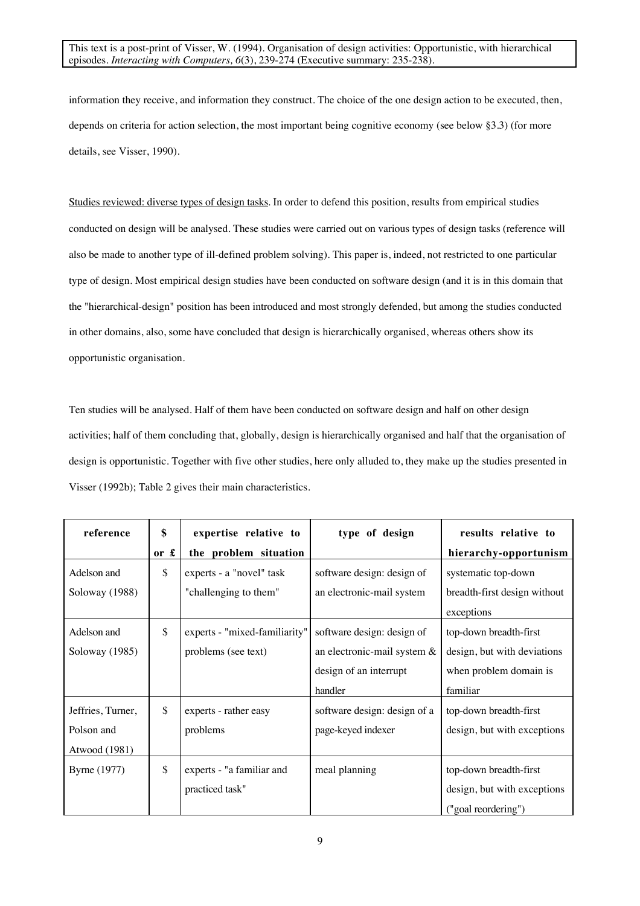information they receive, and information they construct. The choice of the one design action to be executed, then, depends on criteria for action selection, the most important being cognitive economy (see below §3.3) (for more details, see Visser, 1990).

Studies reviewed: diverse types of design tasks. In order to defend this position, results from empirical studies conducted on design will be analysed. These studies were carried out on various types of design tasks (reference will also be made to another type of ill-defined problem solving). This paper is, indeed, not restricted to one particular type of design. Most empirical design studies have been conducted on software design (and it is in this domain that the "hierarchical-design" position has been introduced and most strongly defended, but among the studies conducted in other domains, also, some have concluded that design is hierarchically organised, whereas others show its opportunistic organisation.

Ten studies will be analysed. Half of them have been conducted on software design and half on other design activities; half of them concluding that, globally, design is hierarchically organised and half that the organisation of design is opportunistic. Together with five other studies, here only alluded to, they make up the studies presented in Visser (1992b); Table 2 gives their main characteristics.

| reference         | \$             | expertise relative to         | type of design                 | results relative to          |
|-------------------|----------------|-------------------------------|--------------------------------|------------------------------|
|                   | or $\mathbf f$ | the problem situation         |                                | hierarchy-opportunism        |
| Adelson and       | \$             | experts - a "novel" task      | software design: design of     | systematic top-down          |
| Soloway (1988)    |                | "challenging to them"         | an electronic-mail system      | breadth-first design without |
|                   |                |                               |                                | exceptions                   |
| Adelson and       | \$             | experts - "mixed-familiarity" | software design: design of     | top-down breadth-first       |
| Soloway (1985)    |                | problems (see text)           | an electronic-mail system $\&$ | design, but with deviations  |
|                   |                |                               | design of an interrupt         | when problem domain is       |
|                   |                |                               | handler                        | familiar                     |
| Jeffries, Turner, | \$             | experts - rather easy         | software design: design of a   | top-down breadth-first       |
| Polson and        |                | problems                      | page-keyed indexer             | design, but with exceptions  |
| Atwood (1981)     |                |                               |                                |                              |
| Byrne (1977)      | \$             | experts - "a familiar and     | meal planning                  | top-down breadth-first       |
|                   |                | practiced task"               |                                | design, but with exceptions  |
|                   |                |                               |                                | ("goal reordering")          |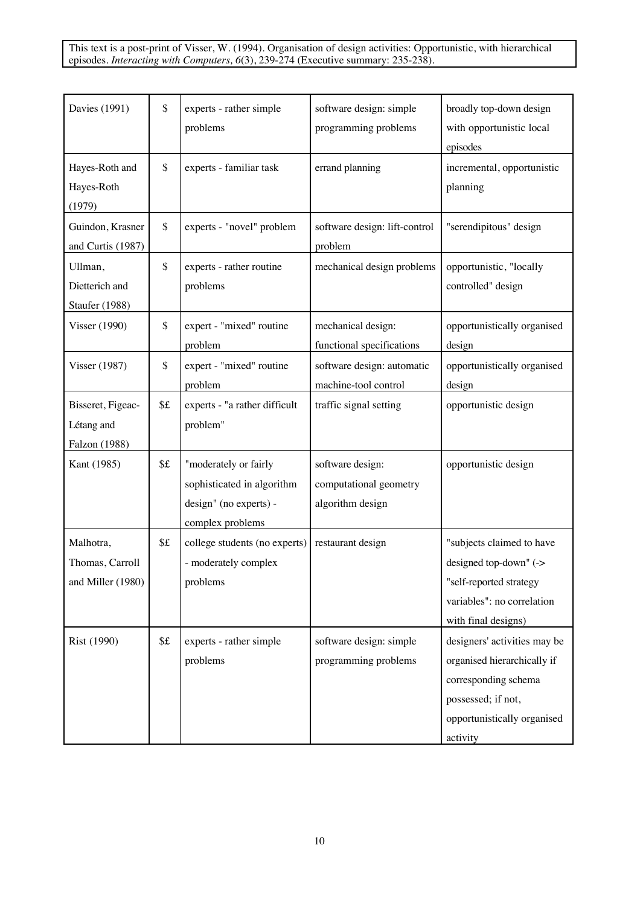| Davies (1991)                                     | \$  | experts - rather simple<br>problems                                                               | software design: simple<br>programming problems                | broadly top-down design<br>with opportunistic local<br>episodes                                                                                      |
|---------------------------------------------------|-----|---------------------------------------------------------------------------------------------------|----------------------------------------------------------------|------------------------------------------------------------------------------------------------------------------------------------------------------|
| Hayes-Roth and<br>Hayes-Roth<br>(1979)            | \$  | experts - familiar task                                                                           | errand planning                                                | incremental, opportunistic<br>planning                                                                                                               |
| Guindon, Krasner<br>and Curtis (1987)             | \$  | experts - "novel" problem                                                                         | software design: lift-control<br>problem                       | "serendipitous" design                                                                                                                               |
| Ullman,<br>Dietterich and<br>Staufer (1988)       | \$  | experts - rather routine<br>problems                                                              | mechanical design problems                                     | opportunistic, "locally<br>controlled" design                                                                                                        |
| Visser (1990)                                     | \$  | expert - "mixed" routine<br>problem                                                               | mechanical design:<br>functional specifications                | opportunistically organised<br>design                                                                                                                |
| Visser (1987)                                     | \$  | expert - "mixed" routine<br>problem                                                               | software design: automatic<br>machine-tool control             | opportunistically organised<br>design                                                                                                                |
| Bisseret, Figeac-<br>Létang and<br>Falzon (1988)  | \$£ | experts - "a rather difficult<br>problem"                                                         | traffic signal setting                                         | opportunistic design                                                                                                                                 |
| Kant (1985)                                       | \$£ | "moderately or fairly<br>sophisticated in algorithm<br>design" (no experts) -<br>complex problems | software design:<br>computational geometry<br>algorithm design | opportunistic design                                                                                                                                 |
| Malhotra,<br>Thomas, Carroll<br>and Miller (1980) | \$£ | college students (no experts)<br>- moderately complex<br>problems                                 | restaurant design                                              | "subjects claimed to have<br>designed top-down" $(\rightarrow$<br>"self-reported strategy<br>variables": no correlation<br>with final designs)       |
| <b>Rist</b> (1990)                                | \$£ | experts - rather simple<br>problems                                                               | software design: simple<br>programming problems                | designers' activities may be<br>organised hierarchically if<br>corresponding schema<br>possessed; if not,<br>opportunistically organised<br>activity |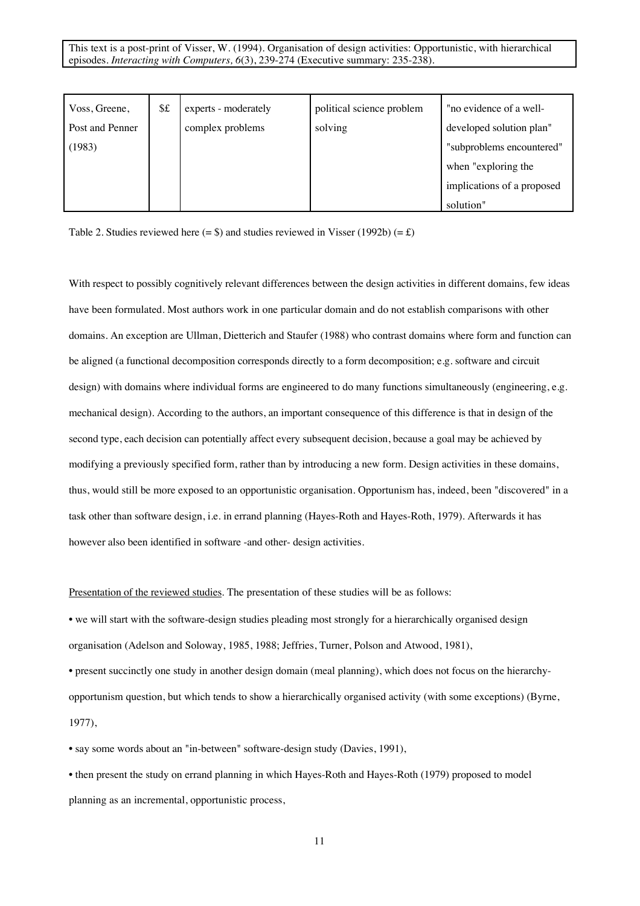| Voss, Greene,   | \$£ | experts - moderately | political science problem | "no evidence of a well-    |
|-----------------|-----|----------------------|---------------------------|----------------------------|
| Post and Penner |     | complex problems     | solving                   | developed solution plan"   |
| (1983)          |     |                      |                           | "subproblems encountered"  |
|                 |     |                      |                           | when "exploring the        |
|                 |     |                      |                           | implications of a proposed |
|                 |     |                      |                           | solution"                  |

Table 2. Studies reviewed here  $(=\$)$  and studies reviewed in Visser (1992b)  $(=\$)$ 

With respect to possibly cognitively relevant differences between the design activities in different domains, few ideas have been formulated. Most authors work in one particular domain and do not establish comparisons with other domains. An exception are Ullman, Dietterich and Staufer (1988) who contrast domains where form and function can be aligned (a functional decomposition corresponds directly to a form decomposition; e.g. software and circuit design) with domains where individual forms are engineered to do many functions simultaneously (engineering, e.g. mechanical design). According to the authors, an important consequence of this difference is that in design of the second type, each decision can potentially affect every subsequent decision, because a goal may be achieved by modifying a previously specified form, rather than by introducing a new form. Design activities in these domains, thus, would still be more exposed to an opportunistic organisation. Opportunism has, indeed, been "discovered" in a task other than software design, i.e. in errand planning (Hayes-Roth and Hayes-Roth, 1979). Afterwards it has however also been identified in software -and other- design activities.

Presentation of the reviewed studies. The presentation of these studies will be as follows:

• we will start with the software-design studies pleading most strongly for a hierarchically organised design organisation (Adelson and Soloway, 1985, 1988; Jeffries, Turner, Polson and Atwood, 1981),

• present succinctly one study in another design domain (meal planning), which does not focus on the hierarchyopportunism question, but which tends to show a hierarchically organised activity (with some exceptions) (Byrne, 1977),

• say some words about an "in-between" software-design study (Davies, 1991),

• then present the study on errand planning in which Hayes-Roth and Hayes-Roth (1979) proposed to model planning as an incremental, opportunistic process,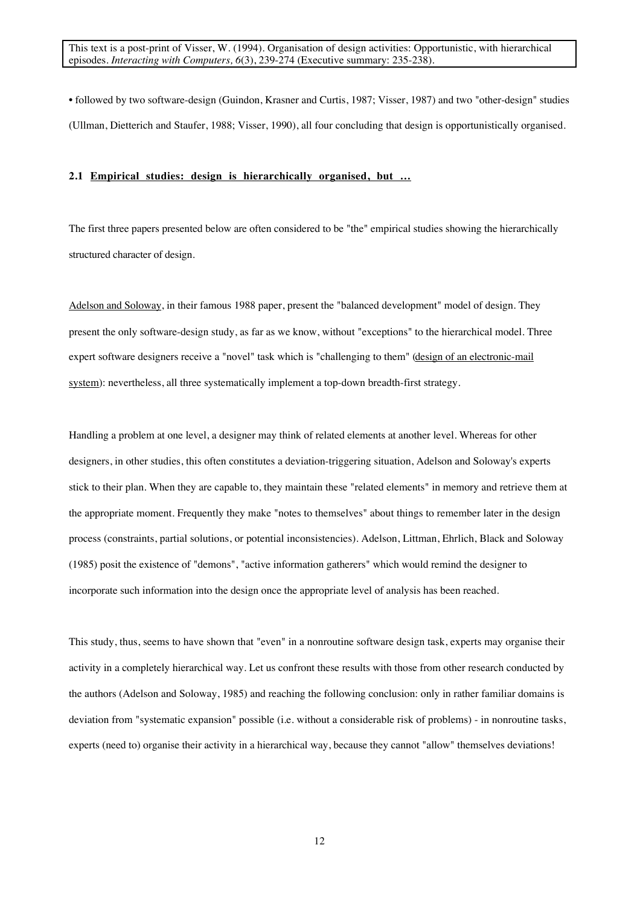• followed by two software-design (Guindon, Krasner and Curtis, 1987; Visser, 1987) and two "other-design" studies (Ullman, Dietterich and Staufer, 1988; Visser, 1990), all four concluding that design is opportunistically organised.

#### **2.1 Empirical studies: design is hierarchically organised, but …**

The first three papers presented below are often considered to be "the" empirical studies showing the hierarchically structured character of design.

Adelson and Soloway , in their famous 1988 paper, present the "balanced development" model of design. They present the only software-design study, as far as we know, without "exceptions" to the hierarchical model. Three expert software designers receive a "novel" task which is "challenging to them" (design of an electronic-mail system): nevertheless, all three systematically implement a top-down breadth-first strategy.

Handling a problem at one level, a designer may think of related elements at another level. Whereas for other designers, in other studies, this often constitutes a deviation-triggering situation, Adelson and Soloway's experts stick to their plan. When they are capable to, they maintain these "related elements" in memory and retrieve them at the appropriate moment. Frequently they make "notes to themselves" about things to remember later in the design process (constraints, partial solutions, or potential inconsistencies). Adelson, Littman, Ehrlich, Black and Soloway (1985) posit the existence of "demons", "active information gatherers" which would remind the designer to incorporate such information into the design once the appropriate level of analysis has been reached.

This study, thus, seems to have shown that "even" in a nonroutine software design task, experts may organise their activity in a completely hierarchical way. Let us confront these results with those from other research conducted by the authors (Adelson and Soloway, 1985) and reaching the following conclusion: only in rather familiar domains is deviation from "systematic expansion" possible (i.e. without a considerable risk of problems) - in nonroutine tasks, experts (need to) organise their activity in a hierarchical way, because they cannot "allow" themselves deviations!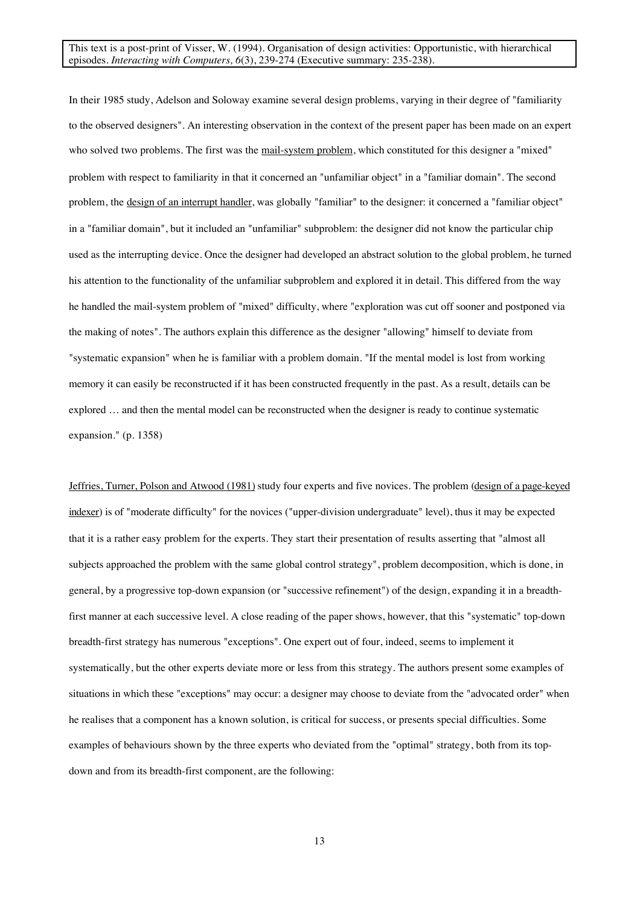In their 1985 study, Adelson and Soloway examine several design problems, varying in their degree of "familiarity to the observed designers". An interesting observation in the context of the present paper has been made on an expert who solved two problems. The first was the mail-system problem, which constituted for this designer a "mixed" problem with respect to familiarity in that it concerned an "unfamiliar object" in a "familiar domain". The second problem, the design of an interrupt handler, was globally "familiar" to the designer: it concerned a "familiar object" in a "familiar domain", but it included an "unfamiliar" subproblem: the designer did not know the particular chip used as the interrupting device. Once the designer had developed an abstract solution to the global problem, he turned his attention to the functionality of the unfamiliar subproblem and explored it in detail. This differed from the way he handled the mail-system problem of "mixed" difficulty, where "exploration was cut off sooner and postponed via the making of notes". The authors explain this difference as the designer "allowing" himself to deviate from "systematic expansion" when he is familiar with a problem domain. "If the mental model is lost from working memory it can easily be reconstructed if it has been constructed frequently in the past. As a result, details can be explored … and then the mental model can be reconstructed when the designer is ready to continue systematic expansion." (p. 1358)

Jeffries, Turner, Polson and Atwood (1981) study four experts and five novices. The problem (design of a page-keyed indexer) is of "moderate difficulty" for the novices ("upper-division undergraduate" level), thus it may be expected that it is a rather easy problem for the experts. They start their presentation of results asserting that "almost all subjects approached the problem with the same global control strategy", problem decomposition, which is done, in general, by a progressive top-down expansion (or "successive refinement") of the design, expanding it in a breadthfirst manner at each successive level. A close reading of the paper shows, however, that this "systematic" top-down breadth-first strategy has numerous "exceptions". One expert out of four, indeed, seems to implement it systematically, but the other experts deviate more or less from this strategy. The authors present some examples of situations in which these "exceptions" may occur: a designer may choose to deviate from the "advocated order" when he realises that a component has a known solution, is critical for success, or presents special difficulties. Some examples of behaviours shown by the three experts who deviated from the "optimal" strategy, both from its topdown and from its breadth-first component, are the following: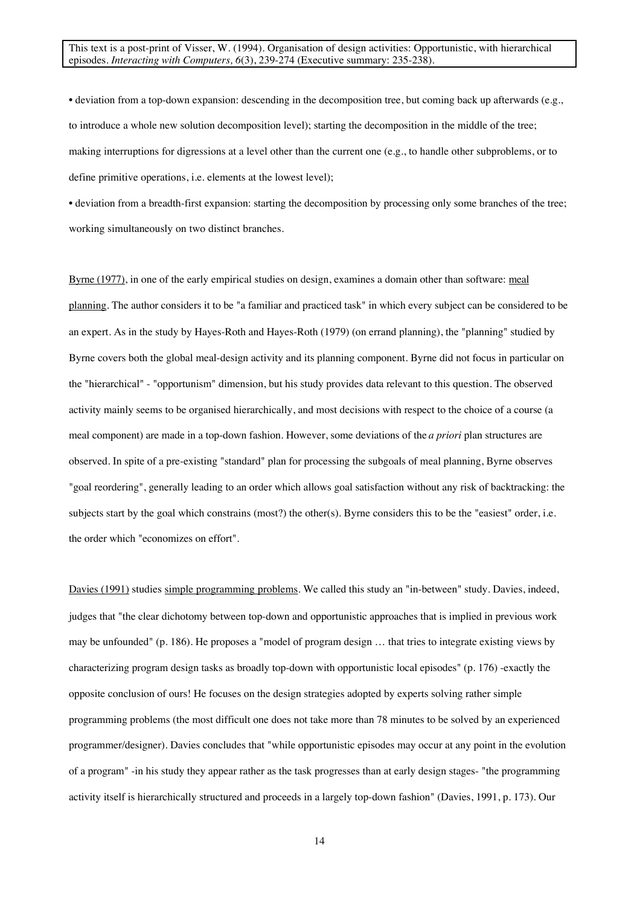• deviation from a top-down expansion: descending in the decomposition tree, but coming back up afterwards (e.g., to introduce a whole new solution decomposition level); starting the decomposition in the middle of the tree; making interruptions for digressions at a level other than the current one (e.g., to handle other subproblems, or to define primitive operations, i.e. elements at the lowest level);

• deviation from a breadth-first expansion: starting the decomposition by processing only some branches of the tree; working simultaneously on two distinct branches.

Byrne (1977) , in one of the early empirical studies on design, examines a domain other than software: meal planning . The author considers it to be "a familiar and practiced task" in which every subject can be considered to be an expert. As in the study by Hayes-Roth and Hayes-Roth (1979) (on errand planning), the "planning" studied by Byrne covers both the global meal-design activity and its planning component. Byrne did not focus in particular on the "hierarchical" - "opportunism" dimension, but his study provides data relevant to this question. The observed activity mainly seems to be organised hierarchically, and most decisions with respect to the choice of a course (a meal component) are made in a top-down fashion. However, some deviations of the *a priori* plan structures are observed. In spite of a pre-existing "standard" plan for processing the subgoals of meal planning, Byrne observes "goal reordering", generally leading to an order which allows goal satisfaction without any risk of backtracking: the subjects start by the goal which constrains (most?) the other(s). Byrne considers this to be the "easiest" order, i.e. the order which "economizes on effort".

Davies (1991) studies simple programming problems. We called this study an "in-between" study. Davies, indeed, judges that "the clear dichotomy between top-down and opportunistic approaches that is implied in previous work may be unfounded" (p. 186). He proposes a "model of program design … that tries to integrate existing views by characterizing program design tasks as broadly top-down with opportunistic local episodes" (p. 176) -exactly the opposite conclusion of ours! He focuses on the design strategies adopted by experts solving rather simple programming problems (the most difficult one does not take more than 78 minutes to be solved by an experienced programmer/designer). Davies concludes that "while opportunistic episodes may occur at any point in the evolution of a program" -in his study they appear rather as the task progresses than at early design stages- "the programming activity itself is hierarchically structured and proceeds in a largely top-down fashion" (Davies, 1991, p. 173). Our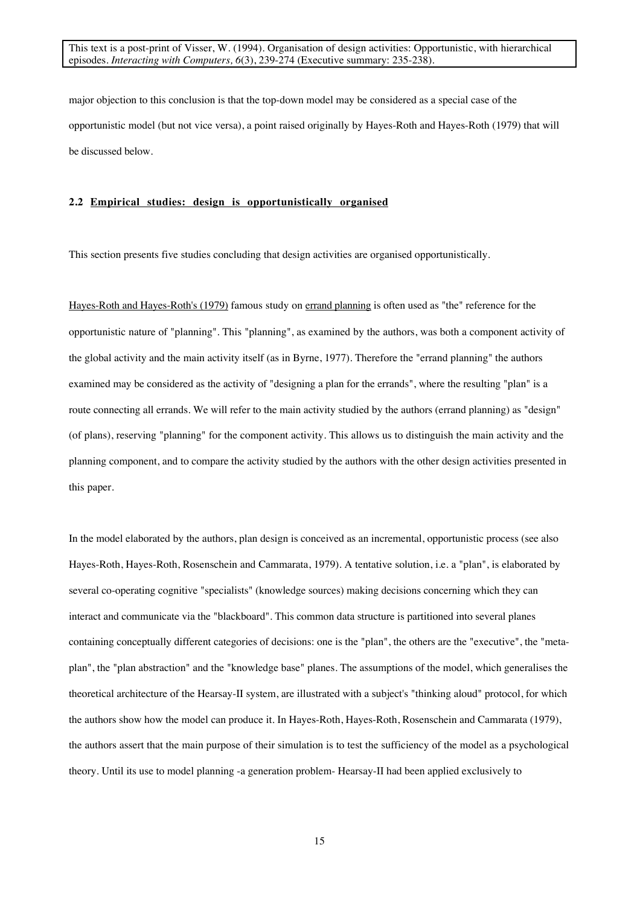major objection to this conclusion is that the top-down model may be considered as a special case of the opportunistic model (but not vice versa), a point raised originally by Hayes-Roth and Hayes-Roth (1979) that will be discussed below.

#### **2.2 Empirical studies: design is opportunistically organised**

This section presents five studies concluding that design activities are organised opportunistically.

Hayes-Roth and Hayes-Roth's (1979) famous study on errand planning is often used as "the" reference for the opportunistic nature of "planning". This "planning", as examined by the authors, was both a component activity of the global activity and the main activity itself (as in Byrne, 1977). Therefore the "errand planning" the authors examined may be considered as the activity of "designing a plan for the errands", where the resulting "plan" is a route connecting all errands. We will refer to the main activity studied by the authors (errand planning) as "design" (of plans), reserving "planning" for the component activity. This allows us to distinguish the main activity and the planning component, and to compare the activity studied by the authors with the other design activities presented in this paper.

In the model elaborated by the authors, plan design is conceived as an incremental, opportunistic process (see also Hayes-Roth, Hayes-Roth, Rosenschein and Cammarata, 1979). A tentative solution, i.e. a "plan", is elaborated by several co-operating cognitive "specialists" (knowledge sources) making decisions concerning which they can interact and communicate via the "blackboard". This common data structure is partitioned into several planes containing conceptually different categories of decisions: one is the "plan", the others are the "executive", the "metaplan", the "plan abstraction" and the "knowledge base" planes. The assumptions of the model, which generalises the theoretical architecture of the Hearsay-II system, are illustrated with a subject's "thinking aloud" protocol, for which the authors show how the model can produce it. In Hayes-Roth, Hayes-Roth, Rosenschein and Cammarata (1979), the authors assert that the main purpose of their simulation is to test the sufficiency of the model as a psychological theory. Until its use to model planning -a generation problem- Hearsay-II had been applied exclusively to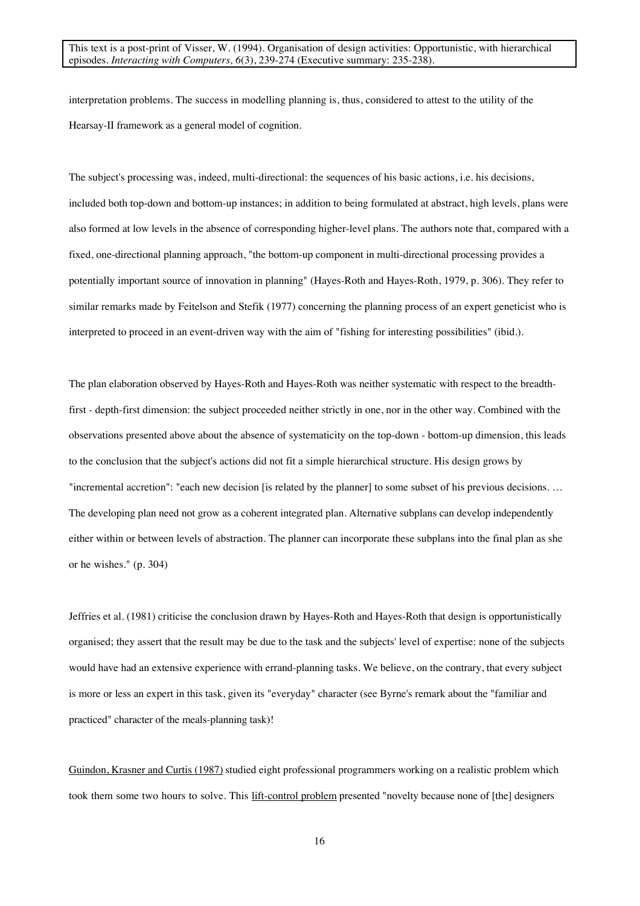interpretation problems. The success in modelling planning is, thus, considered to attest to the utility of the Hearsay-II framework as a general model of cognition.

The subject's processing was, indeed, multi-directional: the sequences of his basic actions, i.e. his decisions, included both top-down and bottom-up instances; in addition to being formulated at abstract, high levels, plans were also formed at low levels in the absence of corresponding higher-level plans. The authors note that, compared with a fixed, one-directional planning approach, "the bottom-up component in multi-directional processing provides a potentially important source of innovation in planning" (Hayes-Roth and Hayes-Roth, 1979, p. 306). They refer to similar remarks made by Feitelson and Stefik (1977) concerning the planning process of an expert geneticist who is interpreted to proceed in an event-driven way with the aim of "fishing for interesting possibilities" (ibid.).

The plan elaboration observed by Hayes-Roth and Hayes-Roth was neither systematic with respect to the breadthfirst - depth-first dimension: the subject proceeded neither strictly in one, nor in the other way. Combined with the observations presented above about the absence of systematicity on the top-down - bottom-up dimension, this leads to the conclusion that the subject's actions did not fit a simple hierarchical structure. His design grows by "incremental accretion": "each new decision [is related by the planner] to some subset of his previous decisions. … The developing plan need not grow as a coherent integrated plan. Alternative subplans can develop independently either within or between levels of abstraction. The planner can incorporate these subplans into the final plan as she or he wishes." (p. 304)

Jeffries et al. (1981) criticise the conclusion drawn by Hayes-Roth and Hayes-Roth that design is opportunistically organised; they assert that the result may be due to the task and the subjects' level of expertise: none of the subjects would have had an extensive experience with errand-planning tasks. We believe, on the contrary, that every subject is more or less an expert in this task, given its "everyday" character (see Byrne's remark about the "familiar and practiced" character of the meals-planning task)!

Guindon, Krasner and Curtis (1987) studied eight professional programmers working on a realistic problem which took them some two hours to solve. This lift-control problem presented "novelty because none of [the] designers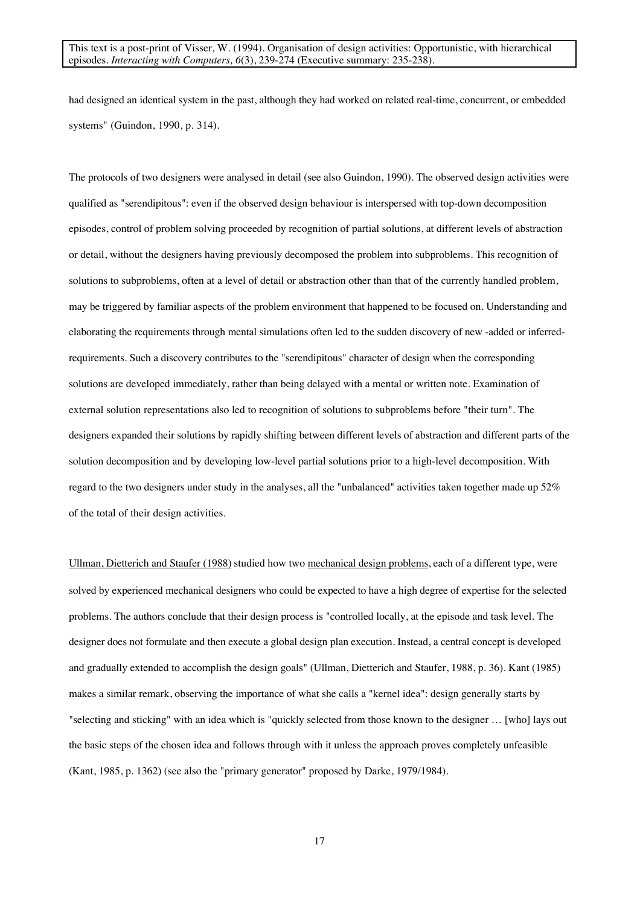had designed an identical system in the past, although they had worked on related real-time, concurrent, or embedded systems" (Guindon, 1990, p. 314).

The protocols of two designers were analysed in detail (see also Guindon, 1990). The observed design activities were qualified as "serendipitous": even if the observed design behaviour is interspersed with top-down decomposition episodes, control of problem solving proceeded by recognition of partial solutions, at different levels of abstraction or detail, without the designers having previously decomposed the problem into subproblems. This recognition of solutions to subproblems, often at a level of detail or abstraction other than that of the currently handled problem, may be triggered by familiar aspects of the problem environment that happened to be focused on. Understanding and elaborating the requirements through mental simulations often led to the sudden discovery of new -added or inferredrequirements. Such a discovery contributes to the "serendipitous" character of design when the corresponding solutions are developed immediately, rather than being delayed with a mental or written note. Examination of external solution representations also led to recognition of solutions to subproblems before "their turn". The designers expanded their solutions by rapidly shifting between different levels of abstraction and different parts of the solution decomposition and by developing low-level partial solutions prior to a high-level decomposition. With regard to the two designers under study in the analyses, all the "unbalanced" activities taken together made up 52% of the total of their design activities.

Ullman, Dietterich and Staufer (1988) studied how two mechanical design problems , each of a different type, were solved by experienced mechanical designers who could be expected to have a high degree of expertise for the selected problems. The authors conclude that their design process is "controlled locally, at the episode and task level. The designer does not formulate and then execute a global design plan execution. Instead, a central concept is developed and gradually extended to accomplish the design goals" (Ullman, Dietterich and Staufer, 1988, p. 36). Kant (1985) makes a similar remark, observing the importance of what she calls a "kernel idea": design generally starts by "selecting and sticking" with an idea which is "quickly selected from those known to the designer … [who] lays out the basic steps of the chosen idea and follows through with it unless the approach proves completely unfeasible (Kant, 1985, p. 1362) (see also the "primary generator" proposed by Darke, 1979/1984).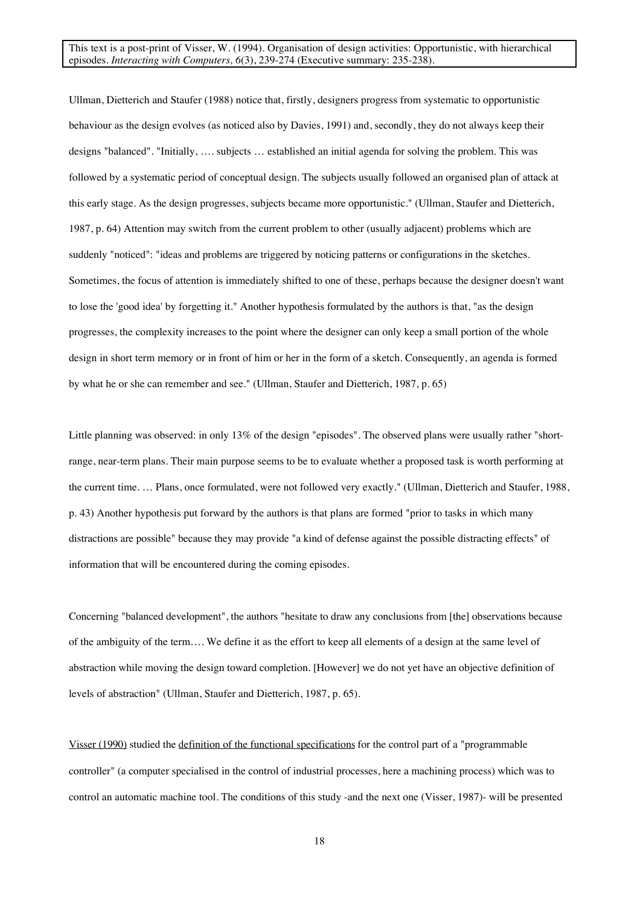Ullman, Dietterich and Staufer (1988) notice that, firstly, designers progress from systematic to opportunistic behaviour as the design evolves (as noticed also by Davies, 1991) and, secondly, they do not always keep their designs "balanced". "Initially, …. subjects … established an initial agenda for solving the problem. This was followed by a systematic period of conceptual design. The subjects usually followed an organised plan of attack at this early stage. As the design progresses, subjects became more opportunistic." (Ullman, Staufer and Dietterich, 1987, p. 64) Attention may switch from the current problem to other (usually adjacent) problems which are suddenly "noticed": "ideas and problems are triggered by noticing patterns or configurations in the sketches. Sometimes, the focus of attention is immediately shifted to one of these, perhaps because the designer doesn't want to lose the 'good idea' by forgetting it." Another hypothesis formulated by the authors is that, "as the design progresses, the complexity increases to the point where the designer can only keep a small portion of the whole design in short term memory or in front of him or her in the form of a sketch. Consequently, an agenda is formed by what he or she can remember and see." (Ullman, Staufer and Dietterich, 1987, p. 65)

Little planning was observed: in only 13% of the design "episodes". The observed plans were usually rather "shortrange, near-term plans. Their main purpose seems to be to evaluate whether a proposed task is worth performing at the current time. … Plans, once formulated, were not followed very exactly." (Ullman, Dietterich and Staufer, 1988, p. 43) Another hypothesis put forward by the authors is that plans are formed "prior to tasks in which many distractions are possible" because they may provide "a kind of defense against the possible distracting effects" of information that will be encountered during the coming episodes.

Concerning "balanced development", the authors "hesitate to draw any conclusions from [the] observations because of the ambiguity of the term…. We define it as the effort to keep all elements of a design at the same level of abstraction while moving the design toward completion. [However] we do not yet have an objective definition of levels of abstraction" (Ullman, Staufer and Dietterich, 1987, p. 65).

Visser (1990) studied the definition of the functional specifications for the control part of a "programmable controller" (a computer specialised in the control of industrial processes, here a machining process) which was to control an automatic machine tool. The conditions of this study -and the next one (Visser, 1987)- will be presented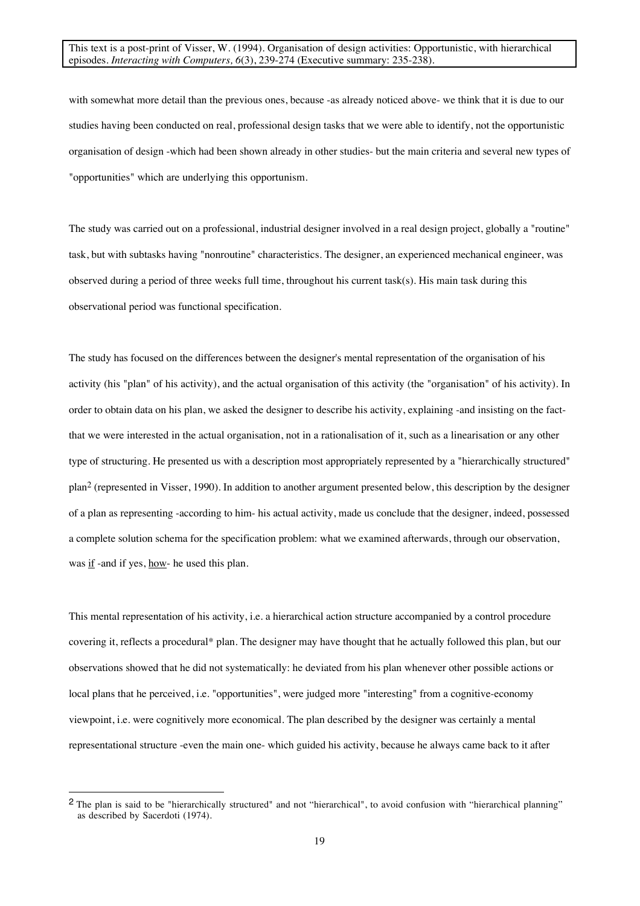with somewhat more detail than the previous ones, because -as already noticed above- we think that it is due to our studies having been conducted on real, professional design tasks that we were able to identify, not the opportunistic organisation of design -which had been shown already in other studies- but the main criteria and several new types of "opportunities" which are underlying this opportunism.

The study was carried out on a professional, industrial designer involved in a real design project, globally a "routine" task, but with subtasks having "nonroutine" characteristics. The designer, an experienced mechanical engineer, was observed during a period of three weeks full time, throughout his current task(s). His main task during this observational period was functional specification.

The study has focused on the differences between the designer's mental representation of the organisation of his activity (his "plan" of his activity), and the actual organisation of this activity (the "organisation" of his activity). In order to obtain data on his plan, we asked the designer to describe his activity, explaining -and insisting on the factthat we were interested in the actual organisation, not in a rationalisation of it, such as a linearisation or any other type of structuring. He presented us with a description most appropriately represented by a "hierarchically structured" plan2 (represented in Visser, 1990). In addition to another argument presented below, this description by the designer of a plan as representing -according to him- his actual activity, made us conclude that the designer, indeed, possessed a complete solution schema for the specification problem: what we examined afterwards, through our observation, was  $\underline{if}$  -and if yes, <u>how</u>- he used this plan.

This mental representation of his activity, i.e. a hierarchical action structure accompanied by a control procedure covering it, reflects a procedural\* plan. The designer may have thought that he actually followed this plan, but our observations showed that he did not systematically: he deviated from his plan whenever other possible actions or local plans that he perceived, i.e. "opportunities", were judged more "interesting" from a cognitive-economy viewpoint, i.e. were cognitively more economical. The plan described by the designer was certainly a mental representational structure -even the main one- which guided his activity, because he always came back to it after

 $\overline{a}$ 

<sup>2</sup> The plan is said to be "hierarchically structured" and not "hierarchical", to avoid confusion with "hierarchical planning" as described by Sacerdoti (1974).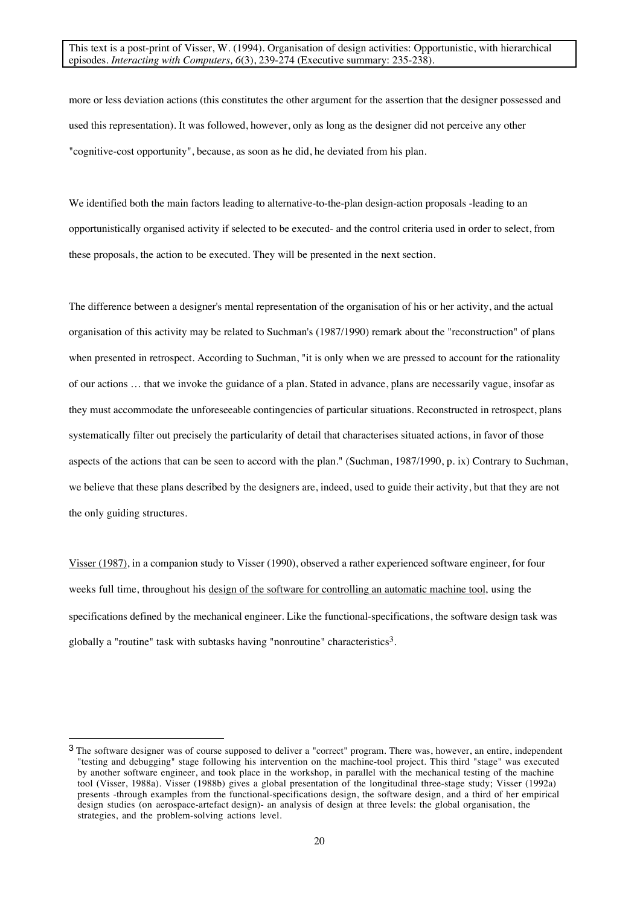more or less deviation actions (this constitutes the other argument for the assertion that the designer possessed and used this representation). It was followed, however, only as long as the designer did not perceive any other "cognitive-cost opportunity", because, as soon as he did, he deviated from his plan.

We identified both the main factors leading to alternative-to-the-plan design-action proposals -leading to an opportunistically organised activity if selected to be executed- and the control criteria used in order to select, from these proposals, the action to be executed. They will be presented in the next section.

The difference between a designer's mental representation of the organisation of his or her activity, and the actual organisation of this activity may be related to Suchman's (1987/1990) remark about the "reconstruction" of plans when presented in retrospect. According to Suchman, "it is only when we are pressed to account for the rationality of our actions … that we invoke the guidance of a plan. Stated in advance, plans are necessarily vague, insofar as they must accommodate the unforeseeable contingencies of particular situations. Reconstructed in retrospect, plans systematically filter out precisely the particularity of detail that characterises situated actions, in favor of those aspects of the actions that can be seen to accord with the plan." (Suchman, 1987/1990, p. ix) Contrary to Suchman, we believe that these plans described by the designers are, indeed, used to guide their activity, but that they are not the only guiding structures.

Visser (1987) , in a companion study to Visser (1990), observed a rather experienced software engineer, for four weeks full time, throughout his design of the software for controlling an automatic machine tool, using the specifications defined by the mechanical engineer. Like the functional-specifications, the software design task was globally a "routine" task with subtasks having "nonroutine" characteristics<sup>3</sup>.

 $\overline{a}$ 

<sup>3</sup> The software designer was of course supposed to deliver a "correct" program. There was, however, an entire, independent "testing and debugging" stage following his intervention on the machine-tool project. This third "stage" was executed by another software engineer, and took place in the workshop, in parallel with the mechanical testing of the machine tool (Visser, 1988a). Visser (1988b) gives a global presentation of the longitudinal three-stage study; Visser (1992a) presents -through examples from the functional-specifications design, the software design, and a third of her empirical design studies (on aerospace-artefact design)- an analysis of design at three levels: the global organisation, the strategies, and the problem-solving actions level.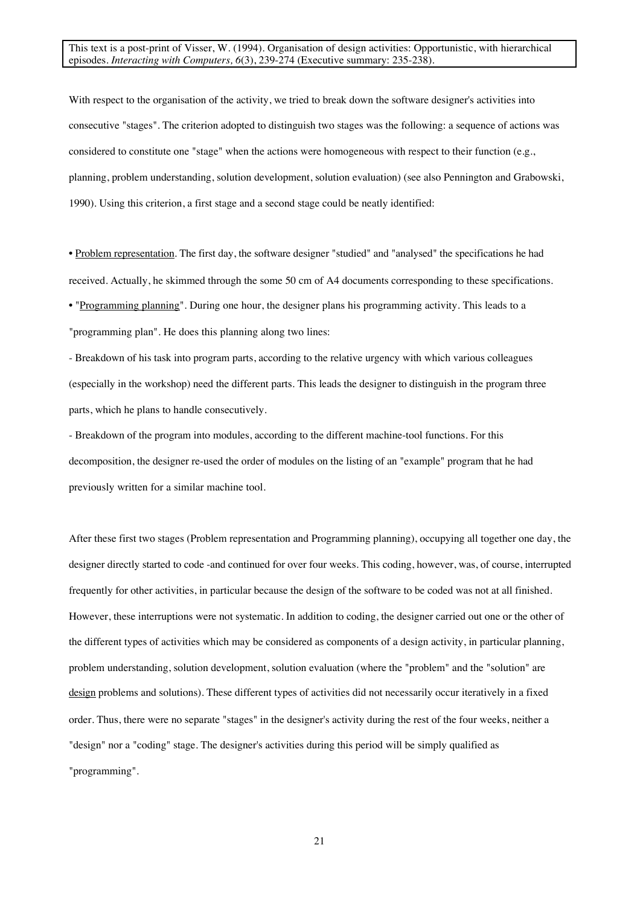With respect to the organisation of the activity, we tried to break down the software designer's activities into consecutive "stages". The criterion adopted to distinguish two stages was the following: a sequence of actions was considered to constitute one "stage" when the actions were homogeneous with respect to their function (e.g., planning, problem understanding, solution development, solution evaluation) (see also Pennington and Grabowski, 1990). Using this criterion, a first stage and a second stage could be neatly identified:

• Problem representation . The first day, the software designer "studied" and "analysed" the specifications he had received. Actually, he skimmed through the some 50 cm of A4 documents corresponding to these specifications. • "Programming planning". During one hour, the designer plans his programming activity. This leads to a "programming plan". He does this planning along two lines:

- Breakdown of his task into program parts, according to the relative urgency with which various colleagues (especially in the workshop) need the different parts. This leads the designer to distinguish in the program three parts, which he plans to handle consecutively.

- Breakdown of the program into modules, according to the different machine-tool functions. For this decomposition, the designer re-used the order of modules on the listing of an "example" program that he had previously written for a similar machine tool.

After these first two stages (Problem representation and Programming planning), occupying all together one day, the designer directly started to code -and continued for over four weeks. This coding, however, was, of course, interrupted frequently for other activities, in particular because the design of the software to be coded was not at all finished. However, these interruptions were not systematic. In addition to coding, the designer carried out one or the other of the different types of activities which may be considered as components of a design activity, in particular planning, problem understanding, solution development, solution evaluation (where the "problem" and the "solution" are design problems and solutions). These different types of activities did not necessarily occur iteratively in a fixed order. Thus, there were no separate "stages" in the designer's activity during the rest of the four weeks, neither a "design" nor a "coding" stage. The designer's activities during this period will be simply qualified as "programming".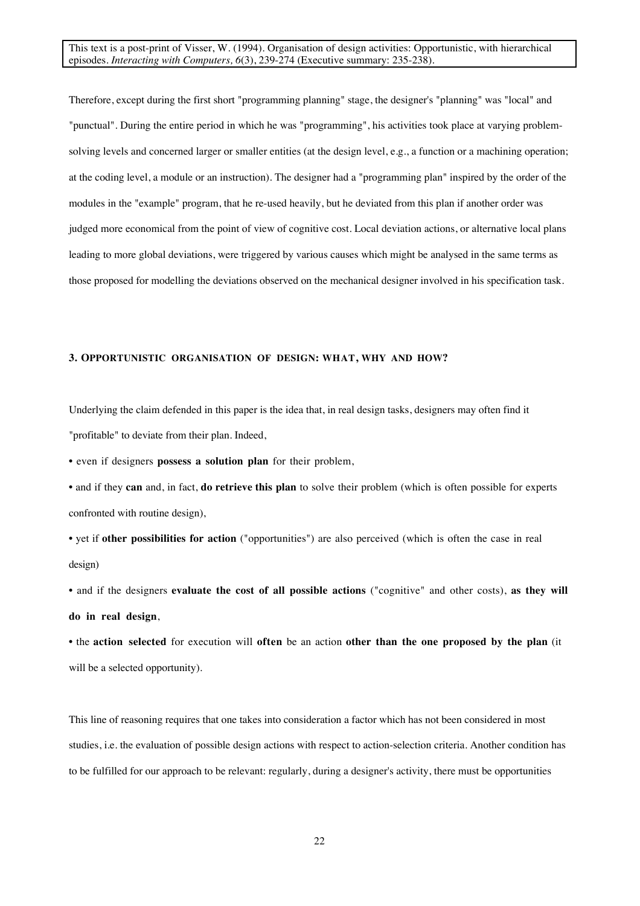Therefore, except during the first short "programming planning" stage, the designer's "planning" was "local" and "punctual". During the entire period in which he was "programming", his activities took place at varying problemsolving levels and concerned larger or smaller entities (at the design level, e.g., a function or a machining operation; at the coding level, a module or an instruction). The designer had a "programming plan" inspired by the order of the modules in the "example" program, that he re-used heavily, but he deviated from this plan if another order was judged more economical from the point of view of cognitive cost. Local deviation actions, or alternative local plans leading to more global deviations, were triggered by various causes which might be analysed in the same terms as those proposed for modelling the deviations observed on the mechanical designer involved in his specification task.

#### **3. OPPORTUNISTIC ORGANISATION OF DESIGN: WHAT, WHY AND HOW?**

Underlying the claim defended in this paper is the idea that, in real design tasks, designers may often find it "profitable" to deviate from their plan. Indeed,

• even if designers **possess a solution plan** for their problem,

• and if they **can** and, in fact, **do retrieve this plan** to solve their problem (which is often possible for experts confronted with routine design),

• yet if **other possibilities for action** ("opportunities") are also perceived (which is often the case in real design)

• and if the designers **evaluate the cost of all possible actions** ("cognitive" and other costs), **as they will do in real design**,

• the **action selected** for execution will **often** be an action **other than the one proposed by the plan** (it will be a selected opportunity).

This line of reasoning requires that one takes into consideration a factor which has not been considered in most studies, i.e. the evaluation of possible design actions with respect to action-selection criteria. Another condition has to be fulfilled for our approach to be relevant: regularly, during a designer's activity, there must be opportunities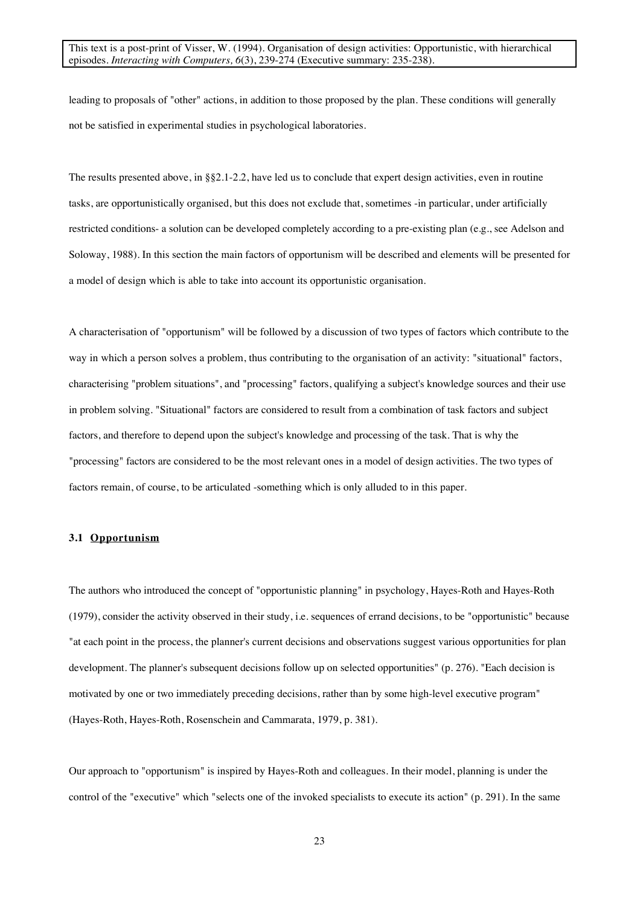leading to proposals of "other" actions, in addition to those proposed by the plan. These conditions will generally not be satisfied in experimental studies in psychological laboratories.

The results presented above, in §§2.1-2.2, have led us to conclude that expert design activities, even in routine tasks, are opportunistically organised, but this does not exclude that, sometimes -in particular, under artificially restricted conditions- a solution can be developed completely according to a pre-existing plan (e.g., see Adelson and Soloway, 1988). In this section the main factors of opportunism will be described and elements will be presented for a model of design which is able to take into account its opportunistic organisation.

A characterisation of "opportunism" will be followed by a discussion of two types of factors which contribute to the way in which a person solves a problem, thus contributing to the organisation of an activity: "situational" factors, characterising "problem situations", and "processing" factors, qualifying a subject's knowledge sources and their use in problem solving. "Situational" factors are considered to result from a combination of task factors and subject factors, and therefore to depend upon the subject's knowledge and processing of the task. That is why the "processing" factors are considered to be the most relevant ones in a model of design activities. The two types of factors remain, of course, to be articulated -something which is only alluded to in this paper.

#### **3.1 Opportunism**

The authors who introduced the concept of "opportunistic planning" in psychology, Hayes-Roth and Hayes-Roth (1979), consider the activity observed in their study, i.e. sequences of errand decisions, to be "opportunistic" because "at each point in the process, the planner's current decisions and observations suggest various opportunities for plan development. The planner's subsequent decisions follow up on selected opportunities" (p. 276). "Each decision is motivated by one or two immediately preceding decisions, rather than by some high-level executive program" (Hayes-Roth, Hayes-Roth, Rosenschein and Cammarata, 1979, p. 381).

Our approach to "opportunism" is inspired by Hayes-Roth and colleagues. In their model, planning is under the control of the "executive" which "selects one of the invoked specialists to execute its action" (p. 291). In the same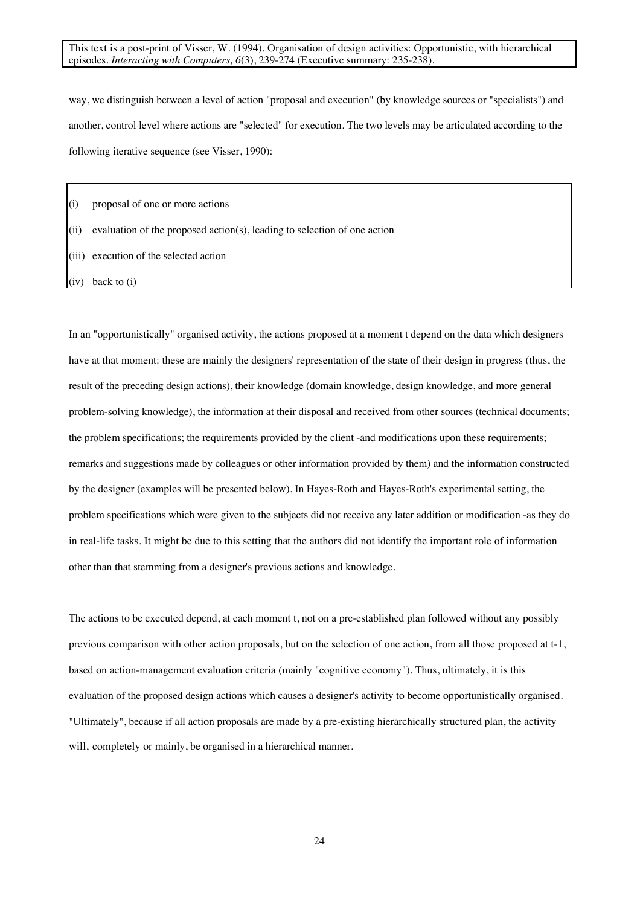way, we distinguish between a level of action "proposal and execution" (by knowledge sources or "specialists") and another, control level where actions are "selected" for execution. The two levels may be articulated according to the following iterative sequence (see Visser, 1990):

(i) proposal of one or more actions

- (ii) evaluation of the proposed action(s), leading to selection of one action
- (iii) execution of the selected action
- (iv) back to (i)

In an "opportunistically" organised activity, the actions proposed at a moment t depend on the data which designers have at that moment: these are mainly the designers' representation of the state of their design in progress (thus, the result of the preceding design actions), their knowledge (domain knowledge, design knowledge, and more general problem-solving knowledge), the information at their disposal and received from other sources (technical documents; the problem specifications; the requirements provided by the client -and modifications upon these requirements; remarks and suggestions made by colleagues or other information provided by them) and the information constructed by the designer (examples will be presented below). In Hayes-Roth and Hayes-Roth's experimental setting, the problem specifications which were given to the subjects did not receive any later addition or modification -as they do in real-life tasks. It might be due to this setting that the authors did not identify the important role of information other than that stemming from a designer's previous actions and knowledge.

The actions to be executed depend, at each moment t, not on a pre-established plan followed without any possibly previous comparison with other action proposals, but on the selection of one action, from all those proposed at t-1, based on action-management evaluation criteria (mainly "cognitive economy"). Thus, ultimately, it is this evaluation of the proposed design actions which causes a designer's activity to become opportunistically organised. "Ultimately", because if all action proposals are made by a pre-existing hierarchically structured plan, the activity will, completely or mainly, be organised in a hierarchical manner.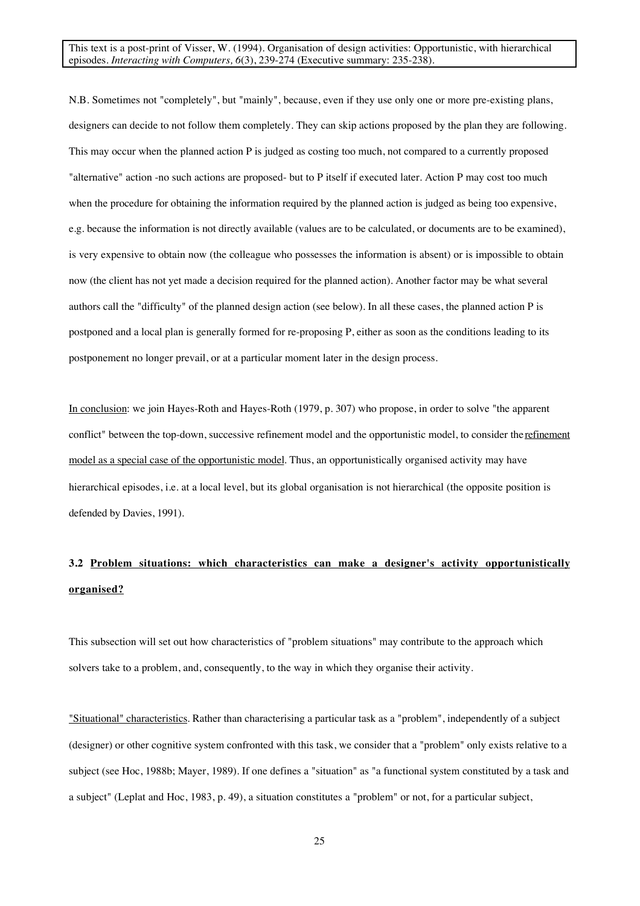N.B. Sometimes not "completely", but "mainly", because, even if they use only one or more pre-existing plans, designers can decide to not follow them completely. They can skip actions proposed by the plan they are following. This may occur when the planned action P is judged as costing too much, not compared to a currently proposed "alternative" action -no such actions are proposed- but to P itself if executed later. Action P may cost too much when the procedure for obtaining the information required by the planned action is judged as being too expensive, e.g. because the information is not directly available (values are to be calculated, or documents are to be examined), is very expensive to obtain now (the colleague who possesses the information is absent) or is impossible to obtain now (the client has not yet made a decision required for the planned action). Another factor may be what several authors call the "difficulty" of the planned design action (see below). In all these cases, the planned action P is postponed and a local plan is generally formed for re-proposing P, either as soon as the conditions leading to its postponement no longer prevail, or at a particular moment later in the design process.

In conclusion: we join Hayes-Roth and Hayes-Roth (1979, p. 307) who propose, in order to solve "the apparent conflict" between the top-down, successive refinement model and the opportunistic model, to consider the refinement model as a special case of the opportunistic model. Thus, an opportunistically organised activity may have hierarchical episodes, i.e. at a local level, but its global organisation is not hierarchical (the opposite position is defended by Davies, 1991).

## **3.2 Problem situations: which characteristics can make a designer's activity opportunistically organised?**

This subsection will set out how characteristics of "problem situations" may contribute to the approach which solvers take to a problem, and, consequently, to the way in which they organise their activity.

"Situational" characteristics . Rather than characterising a particular task as a "problem", independently of a subject (designer) or other cognitive system confronted with this task, we consider that a "problem" only exists relative to a subject (see Hoc, 1988b; Mayer, 1989). If one defines a "situation" as "a functional system constituted by a task and a subject" (Leplat and Hoc, 1983, p. 49), a situation constitutes a "problem" or not, for a particular subject,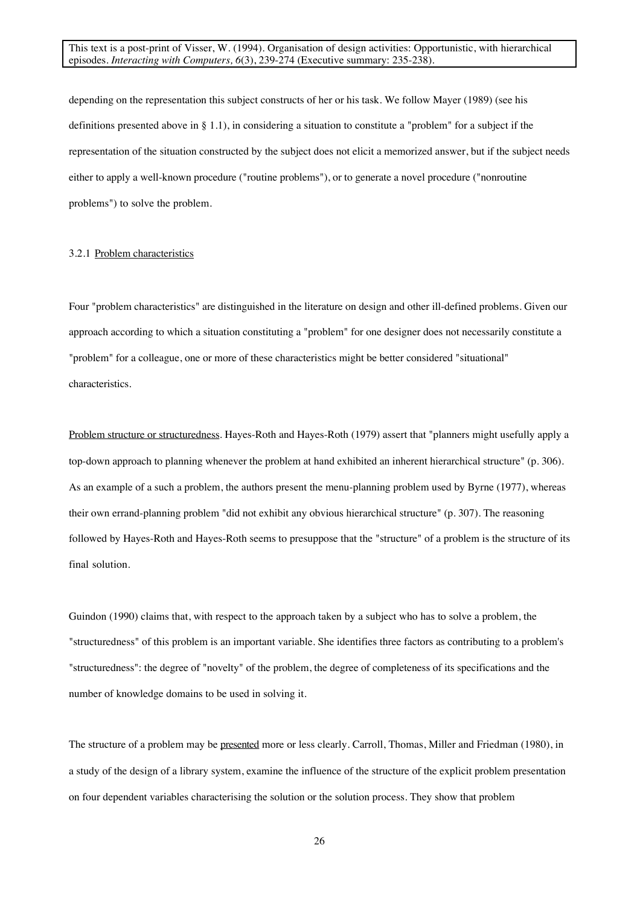depending on the representation this subject constructs of her or his task. We follow Mayer (1989) (see his definitions presented above in § 1.1), in considering a situation to constitute a "problem" for a subject if the representation of the situation constructed by the subject does not elicit a memorized answer, but if the subject needs either to apply a well-known procedure ("routine problems"), or to generate a novel procedure ("nonroutine problems") to solve the problem.

#### 3.2.1 Problem characteristics

Four "problem characteristics" are distinguished in the literature on design and other ill-defined problems. Given our approach according to which a situation constituting a "problem" for one designer does not necessarily constitute a "problem" for a colleague, one or more of these characteristics might be better considered "situational" characteristics.

Problem structure or structuredness. Hayes-Roth and Hayes-Roth (1979) assert that "planners might usefully apply a top-down approach to planning whenever the problem at hand exhibited an inherent hierarchical structure" (p. 306). As an example of a such a problem, the authors present the menu-planning problem used by Byrne (1977), whereas their own errand-planning problem "did not exhibit any obvious hierarchical structure" (p. 307). The reasoning followed by Hayes-Roth and Hayes-Roth seems to presuppose that the "structure" of a problem is the structure of its final solution.

Guindon (1990) claims that, with respect to the approach taken by a subject who has to solve a problem, the "structuredness" of this problem is an important variable. She identifies three factors as contributing to a problem's "structuredness": the degree of "novelty" of the problem, the degree of completeness of its specifications and the number of knowledge domains to be used in solving it.

The structure of a problem may be presented more or less clearly. Carroll, Thomas, Miller and Friedman (1980), in a study of the design of a library system, examine the influence of the structure of the explicit problem presentation on four dependent variables characterising the solution or the solution process. They show that problem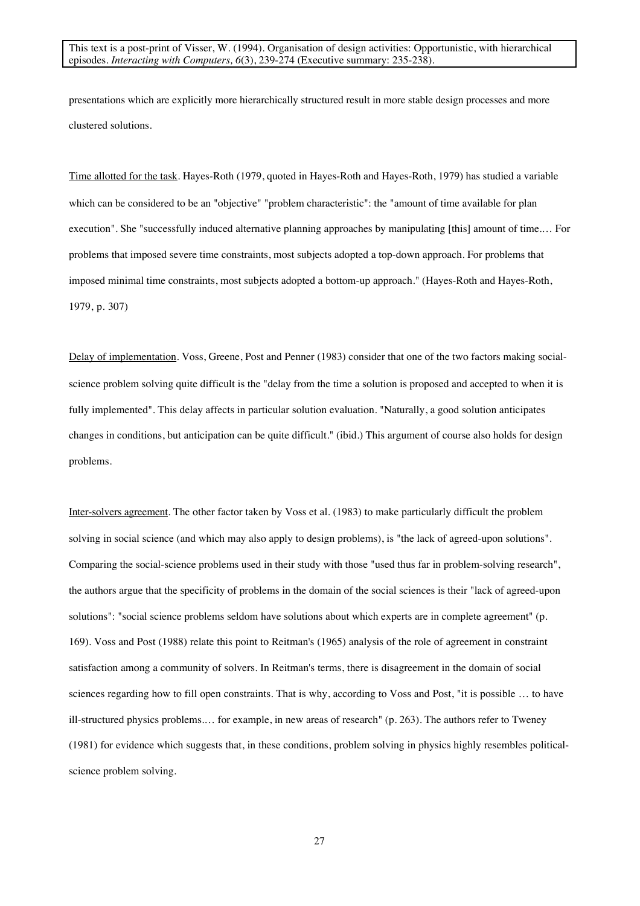presentations which are explicitly more hierarchically structured result in more stable design processes and more clustered solutions.

Time allotted for the task. Hayes-Roth (1979, quoted in Hayes-Roth and Hayes-Roth, 1979) has studied a variable which can be considered to be an "objective" "problem characteristic": the "amount of time available for plan execution". She "successfully induced alternative planning approaches by manipulating [this] amount of time.… For problems that imposed severe time constraints, most subjects adopted a top-down approach. For problems that imposed minimal time constraints, most subjects adopted a bottom-up approach." (Hayes-Roth and Hayes-Roth, 1979, p. 307)

Delay of implementation . Voss, Greene, Post and Penner (1983) consider that one of the two factors making socialscience problem solving quite difficult is the "delay from the time a solution is proposed and accepted to when it is fully implemented". This delay affects in particular solution evaluation. "Naturally, a good solution anticipates changes in conditions, but anticipation can be quite difficult." (ibid.) This argument of course also holds for design problems.

Inter-solvers agreement . The other factor taken by Voss et al. (1983) to make particularly difficult the problem solving in social science (and which may also apply to design problems), is "the lack of agreed-upon solutions". Comparing the social-science problems used in their study with those "used thus far in problem-solving research", the authors argue that the specificity of problems in the domain of the social sciences is their "lack of agreed-upon solutions": "social science problems seldom have solutions about which experts are in complete agreement" (p. 169). Voss and Post (1988) relate this point to Reitman's (1965) analysis of the role of agreement in constraint satisfaction among a community of solvers. In Reitman's terms, there is disagreement in the domain of social sciences regarding how to fill open constraints. That is why, according to Voss and Post, "it is possible … to have ill-structured physics problems.… for example, in new areas of research" (p. 263). The authors refer to Tweney (1981) for evidence which suggests that, in these conditions, problem solving in physics highly resembles politicalscience problem solving.

27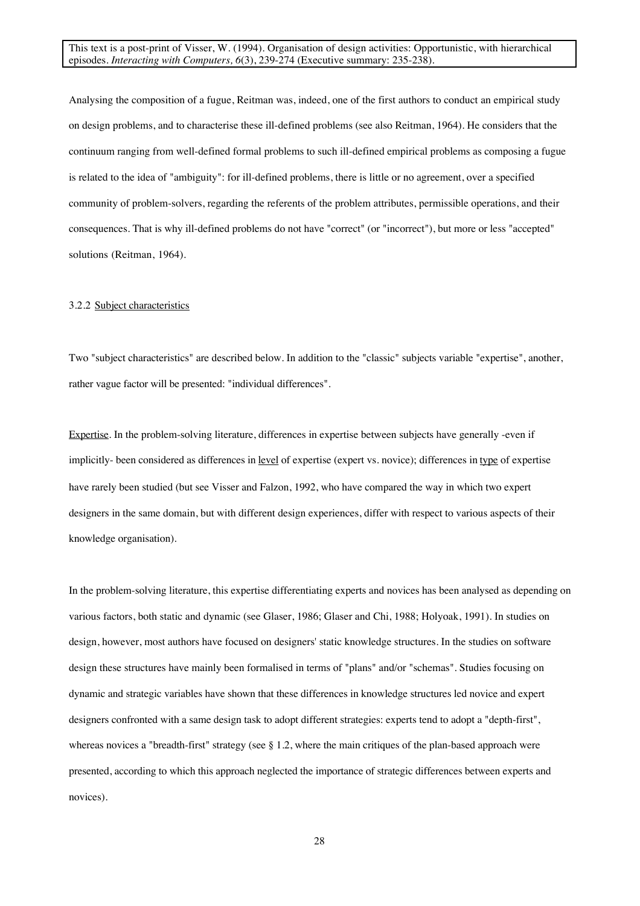Analysing the composition of a fugue, Reitman was, indeed, one of the first authors to conduct an empirical study on design problems, and to characterise these ill-defined problems (see also Reitman, 1964). He considers that the continuum ranging from well-defined formal problems to such ill-defined empirical problems as composing a fugue is related to the idea of "ambiguity": for ill-defined problems, there is little or no agreement, over a specified community of problem-solvers, regarding the referents of the problem attributes, permissible operations, and their consequences. That is why ill-defined problems do not have "correct" (or "incorrect"), but more or less "accepted" solutions (Reitman, 1964).

#### 3.2.2 Subject characteristics

Two "subject characteristics" are described below. In addition to the "classic" subjects variable "expertise", another, rather vague factor will be presented: "individual differences".

Expertise. In the problem-solving literature, differences in expertise between subjects have generally -even if implicitly- been considered as differences in level of expertise (expert vs. novice); differences in type of expertise have rarely been studied (but see Visser and Falzon, 1992, who have compared the way in which two expert designers in the same domain, but with different design experiences, differ with respect to various aspects of their knowledge organisation).

In the problem-solving literature, this expertise differentiating experts and novices has been analysed as depending on various factors, both static and dynamic (see Glaser, 1986; Glaser and Chi, 1988; Holyoak, 1991). In studies on design, however, most authors have focused on designers' static knowledge structures. In the studies on software design these structures have mainly been formalised in terms of "plans" and/or "schemas". Studies focusing on dynamic and strategic variables have shown that these differences in knowledge structures led novice and expert designers confronted with a same design task to adopt different strategies: experts tend to adopt a "depth-first", whereas novices a "breadth-first" strategy (see § 1.2, where the main critiques of the plan-based approach were presented, according to which this approach neglected the importance of strategic differences between experts and novices).

28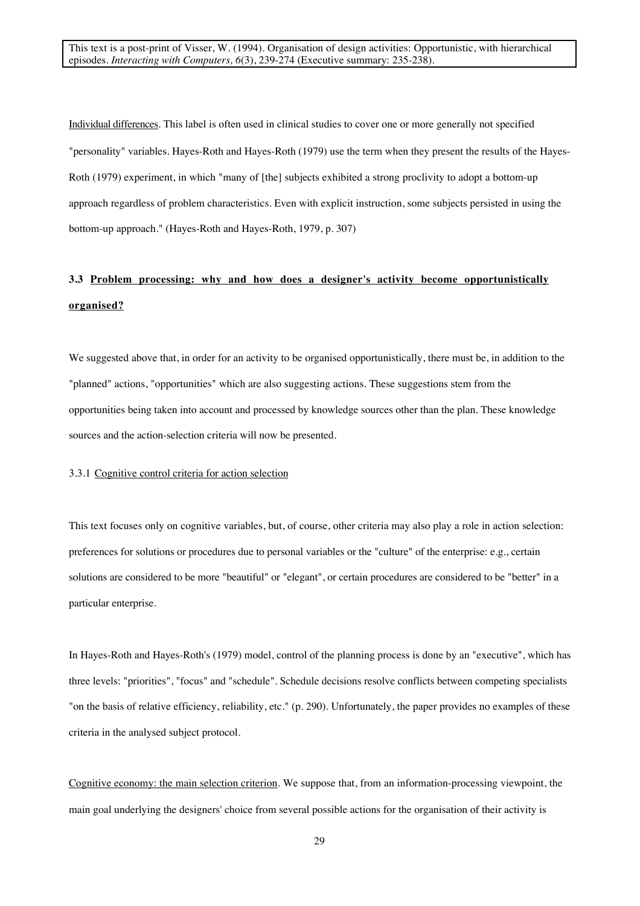Individual differences . This label is often used in clinical studies to cover one or more generally not specified "personality" variables. Hayes-Roth and Hayes-Roth (1979) use the term when they present the results of the Hayes-Roth (1979) experiment, in which "many of [the] subjects exhibited a strong proclivity to adopt a bottom-up approach regardless of problem characteristics. Even with explicit instruction, some subjects persisted in using the bottom-up approach." (Hayes-Roth and Hayes-Roth, 1979, p. 307)

## **3.3 Problem processing: why and how does a designer's activity become opportunistically organised?**

We suggested above that, in order for an activity to be organised opportunistically, there must be, in addition to the "planned" actions, "opportunities" which are also suggesting actions. These suggestions stem from the opportunities being taken into account and processed by knowledge sources other than the plan. These knowledge sources and the action-selection criteria will now be presented.

#### 3.3.1 Cognitive control criteria for action selection

This text focuses only on cognitive variables, but, of course, other criteria may also play a role in action selection: preferences for solutions or procedures due to personal variables or the "culture" of the enterprise: e.g., certain solutions are considered to be more "beautiful" or "elegant", or certain procedures are considered to be "better" in a particular enterprise.

In Hayes-Roth and Hayes-Roth's (1979) model, control of the planning process is done by an "executive", which has three levels: "priorities", "focus" and "schedule". Schedule decisions resolve conflicts between competing specialists "on the basis of relative efficiency, reliability, etc." (p. 290). Unfortunately, the paper provides no examples of these criteria in the analysed subject protocol.

Cognitive economy: the main selection criterion . We suppose that, from an information-processing viewpoint, the main goal underlying the designers' choice from several possible actions for the organisation of their activity is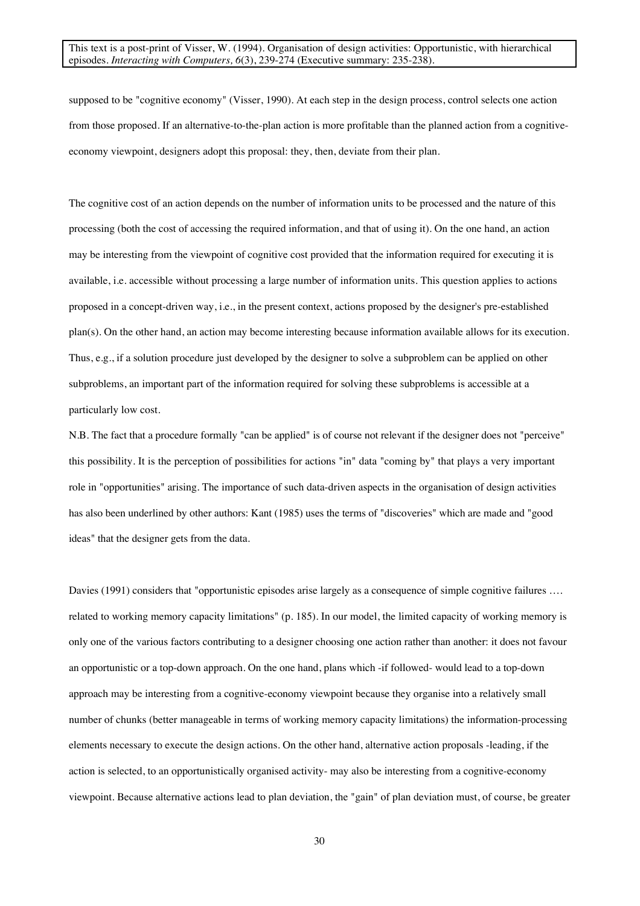supposed to be "cognitive economy" (Visser, 1990). At each step in the design process, control selects one action from those proposed. If an alternative-to-the-plan action is more profitable than the planned action from a cognitiveeconomy viewpoint, designers adopt this proposal: they, then, deviate from their plan.

The cognitive cost of an action depends on the number of information units to be processed and the nature of this processing (both the cost of accessing the required information, and that of using it). On the one hand, an action may be interesting from the viewpoint of cognitive cost provided that the information required for executing it is available, i.e. accessible without processing a large number of information units. This question applies to actions proposed in a concept-driven way, i.e., in the present context, actions proposed by the designer's pre-established plan(s). On the other hand, an action may become interesting because information available allows for its execution. Thus, e.g., if a solution procedure just developed by the designer to solve a subproblem can be applied on other subproblems, an important part of the information required for solving these subproblems is accessible at a particularly low cost.

N.B. The fact that a procedure formally "can be applied" is of course not relevant if the designer does not "perceive" this possibility. It is the perception of possibilities for actions "in" data "coming by" that plays a very important role in "opportunities" arising. The importance of such data-driven aspects in the organisation of design activities has also been underlined by other authors: Kant (1985) uses the terms of "discoveries" which are made and "good ideas" that the designer gets from the data.

Davies (1991) considers that "opportunistic episodes arise largely as a consequence of simple cognitive failures .... related to working memory capacity limitations" (p. 185). In our model, the limited capacity of working memory is only one of the various factors contributing to a designer choosing one action rather than another: it does not favour an opportunistic or a top-down approach. On the one hand, plans which -if followed- would lead to a top-down approach may be interesting from a cognitive-economy viewpoint because they organise into a relatively small number of chunks (better manageable in terms of working memory capacity limitations) the information-processing elements necessary to execute the design actions. On the other hand, alternative action proposals -leading, if the action is selected, to an opportunistically organised activity- may also be interesting from a cognitive-economy viewpoint. Because alternative actions lead to plan deviation, the "gain" of plan deviation must, of course, be greater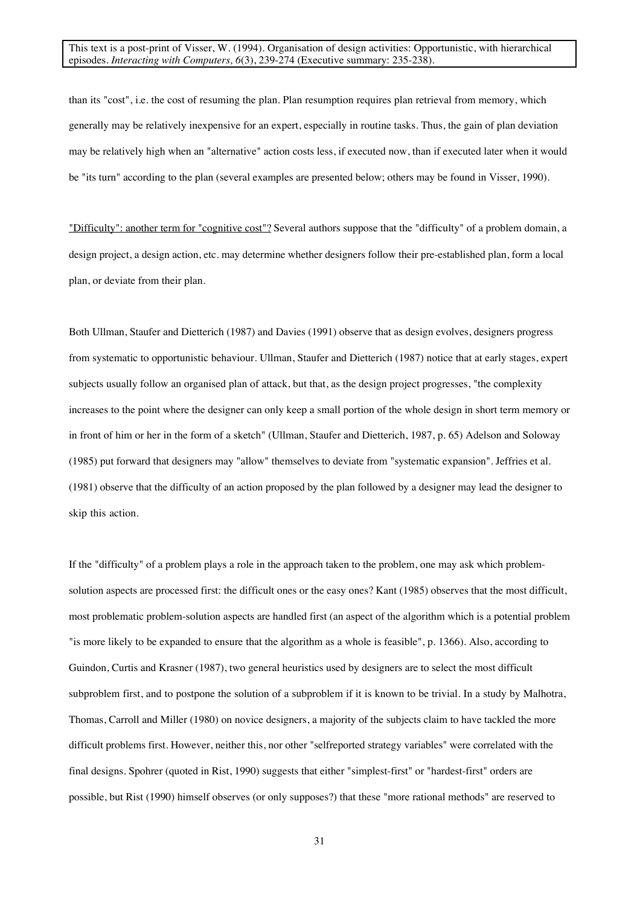than its "cost", i.e. the cost of resuming the plan. Plan resumption requires plan retrieval from memory, which generally may be relatively inexpensive for an expert, especially in routine tasks. Thus, the gain of plan deviation may be relatively high when an "alternative" action costs less, if executed now, than if executed later when it would be "its turn" according to the plan (several examples are presented below; others may be found in Visser, 1990).

"Difficulty": another term for "cognitive cost"? Several authors suppose that the "difficulty" of a problem domain, a design project, a design action, etc. may determine whether designers follow their pre-established plan, form a local plan, or deviate from their plan.

Both Ullman, Staufer and Dietterich (1987) and Davies (1991) observe that as design evolves, designers progress from systematic to opportunistic behaviour. Ullman, Staufer and Dietterich (1987) notice that at early stages, expert subjects usually follow an organised plan of attack, but that, as the design project progresses, "the complexity increases to the point where the designer can only keep a small portion of the whole design in short term memory or in front of him or her in the form of a sketch" (Ullman, Staufer and Dietterich, 1987, p. 65) Adelson and Soloway (1985) put forward that designers may "allow" themselves to deviate from "systematic expansion". Jeffries et al. (1981) observe that the difficulty of an action proposed by the plan followed by a designer may lead the designer to skip this action.

If the "difficulty" of a problem plays a role in the approach taken to the problem, one may ask which problemsolution aspects are processed first: the difficult ones or the easy ones? Kant (1985) observes that the most difficult, most problematic problem-solution aspects are handled first (an aspect of the algorithm which is a potential problem "is more likely to be expanded to ensure that the algorithm as a whole is feasible", p. 1366). Also, according to Guindon, Curtis and Krasner (1987), two general heuristics used by designers are to select the most difficult subproblem first, and to postpone the solution of a subproblem if it is known to be trivial. In a study by Malhotra, Thomas, Carroll and Miller (1980) on novice designers, a majority of the subjects claim to have tackled the more difficult problems first. However, neither this, nor other "selfreported strategy variables" were correlated with the final designs. Spohrer (quoted in Rist, 1990) suggests that either "simplest-first" or "hardest-first" orders are possible, but Rist (1990) himself observes (or only supposes?) that these "more rational methods" are reserved to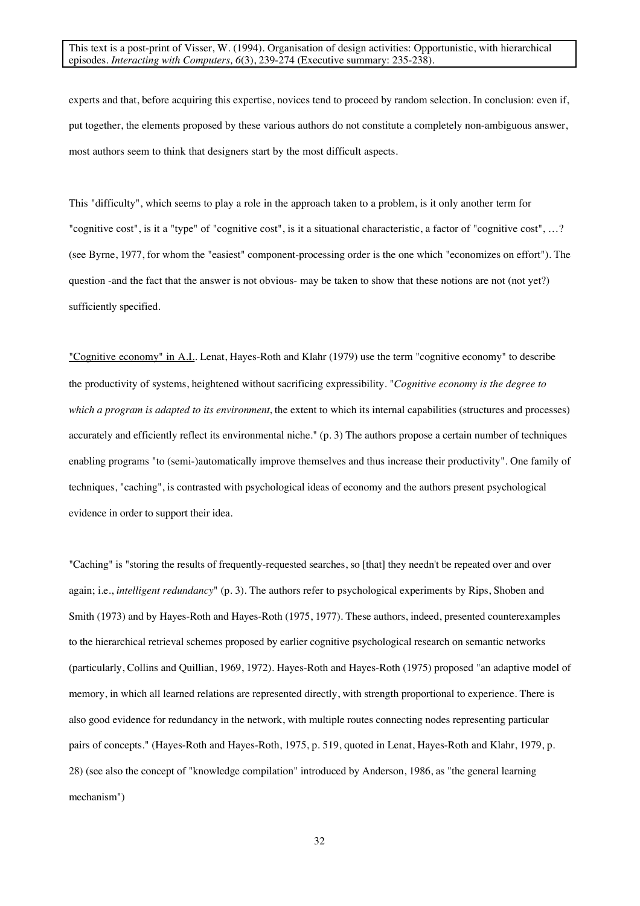experts and that, before acquiring this expertise, novices tend to proceed by random selection. In conclusion: even if, put together, the elements proposed by these various authors do not constitute a completely non-ambiguous answer, most authors seem to think that designers start by the most difficult aspects.

This "difficulty", which seems to play a role in the approach taken to a problem, is it only another term for "cognitive cost", is it a "type" of "cognitive cost", is it a situational characteristic, a factor of "cognitive cost", …? (see Byrne, 1977, for whom the "easiest" component-processing order is the one which "economizes on effort"). The question -and the fact that the answer is not obvious- may be taken to show that these notions are not (not yet?) sufficiently specified.

"Cognitive economy" in A.I. Lenat, Hayes-Roth and Klahr (1979) use the term "cognitive economy" to describe the productivity of systems, heightened without sacrificing expressibility. "*Cognitive economy is the degree to which a program is adapted to its environment*, the extent to which its internal capabilities (structures and processes) accurately and efficiently reflect its environmental niche." (p. 3) The authors propose a certain number of techniques enabling programs "to (semi-)automatically improve themselves and thus increase their productivity". One family of techniques, "caching", is contrasted with psychological ideas of economy and the authors present psychological evidence in order to support their idea.

"Caching" is "storing the results of frequently-requested searches, so [that] they needn't be repeated over and over again; i.e., *intelligent redundancy*" (p. 3). The authors refer to psychological experiments by Rips, Shoben and Smith (1973) and by Hayes-Roth and Hayes-Roth (1975, 1977). These authors, indeed, presented counterexamples to the hierarchical retrieval schemes proposed by earlier cognitive psychological research on semantic networks (particularly, Collins and Quillian, 1969, 1972). Hayes-Roth and Hayes-Roth (1975) proposed "an adaptive model of memory, in which all learned relations are represented directly, with strength proportional to experience. There is also good evidence for redundancy in the network, with multiple routes connecting nodes representing particular pairs of concepts." (Hayes-Roth and Hayes-Roth, 1975, p. 519, quoted in Lenat, Hayes-Roth and Klahr, 1979, p. 28) (see also the concept of "knowledge compilation" introduced by Anderson, 1986, as "the general learning mechanism")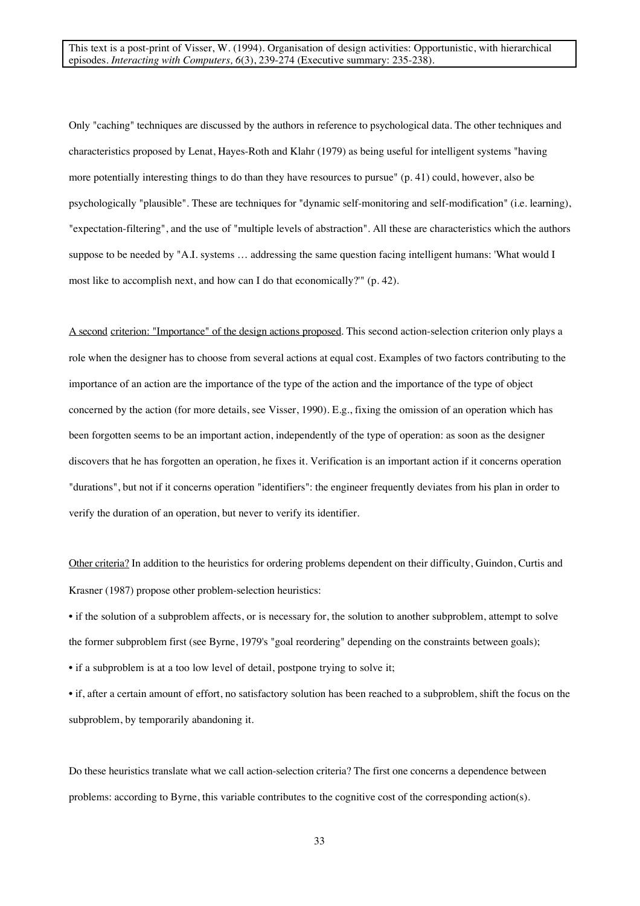Only "caching" techniques are discussed by the authors in reference to psychological data. The other techniques and characteristics proposed by Lenat, Hayes-Roth and Klahr (1979) as being useful for intelligent systems "having more potentially interesting things to do than they have resources to pursue" (p. 41) could, however, also be psychologically "plausible". These are techniques for "dynamic self-monitoring and self-modification" (i.e. learning), "expectation-filtering", and the use of "multiple levels of abstraction". All these are characteristics which the authors suppose to be needed by "A.I. systems … addressing the same question facing intelligent humans: 'What would I most like to accomplish next, and how can I do that economically?'" (p. 42).

A second criterion: "Importance" of the design actions proposed. This second action-selection criterion only plays a role when the designer has to choose from several actions at equal cost. Examples of two factors contributing to the importance of an action are the importance of the type of the action and the importance of the type of object concerned by the action (for more details, see Visser, 1990). E.g., fixing the omission of an operation which has been forgotten seems to be an important action, independently of the type of operation: as soon as the designer discovers that he has forgotten an operation, he fixes it. Verification is an important action if it concerns operation "durations", but not if it concerns operation "identifiers": the engineer frequently deviates from his plan in order to verify the duration of an operation, but never to verify its identifier.

Other criteria? In addition to the heuristics for ordering problems dependent on their difficulty, Guindon, Curtis and Krasner (1987) propose other problem-selection heuristics:

• if the solution of a subproblem affects, or is necessary for, the solution to another subproblem, attempt to solve the former subproblem first (see Byrne, 1979's "goal reordering" depending on the constraints between goals); • if a subproblem is at a too low level of detail, postpone trying to solve it;

• if, after a certain amount of effort, no satisfactory solution has been reached to a subproblem, shift the focus on the subproblem, by temporarily abandoning it.

Do these heuristics translate what we call action-selection criteria? The first one concerns a dependence between problems: according to Byrne, this variable contributes to the cognitive cost of the corresponding action(s).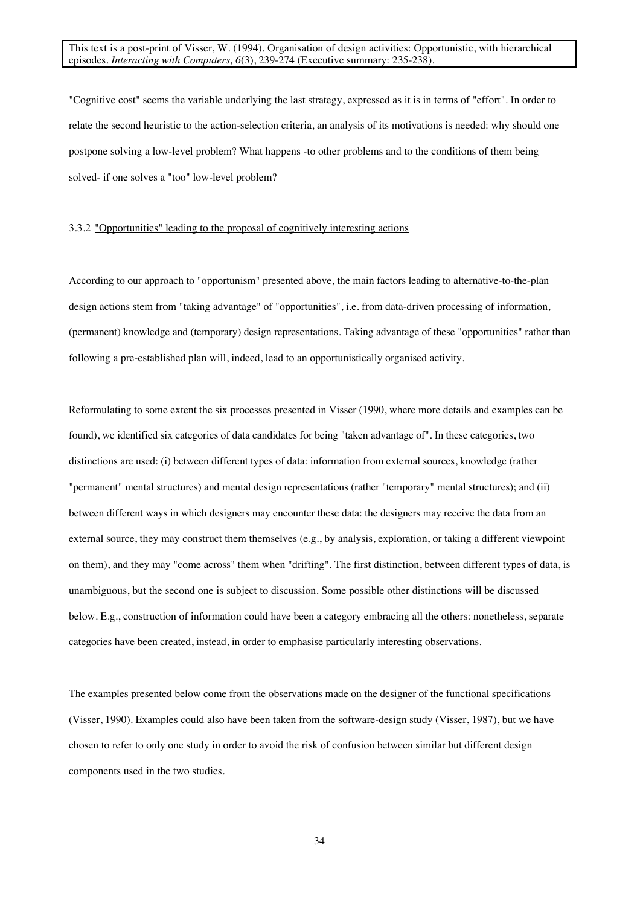"Cognitive cost" seems the variable underlying the last strategy, expressed as it is in terms of "effort". In order to relate the second heuristic to the action-selection criteria, an analysis of its motivations is needed: why should one postpone solving a low-level problem? What happens -to other problems and to the conditions of them being solved- if one solves a "too" low-level problem?

#### 3.3.2 "Opportunities" leading to the proposal of cognitively interesting actions

According to our approach to "opportunism" presented above, the main factors leading to alternative-to-the-plan design actions stem from "taking advantage" of "opportunities", i.e. from data-driven processing of information, (permanent) knowledge and (temporary) design representations. Taking advantage of these "opportunities" rather than following a pre-established plan will, indeed, lead to an opportunistically organised activity.

Reformulating to some extent the six processes presented in Visser (1990, where more details and examples can be found), we identified six categories of data candidates for being "taken advantage of". In these categories, two distinctions are used: (i) between different types of data: information from external sources, knowledge (rather "permanent" mental structures) and mental design representations (rather "temporary" mental structures); and (ii) between different ways in which designers may encounter these data: the designers may receive the data from an external source, they may construct them themselves (e.g., by analysis, exploration, or taking a different viewpoint on them), and they may "come across" them when "drifting". The first distinction, between different types of data, is unambiguous, but the second one is subject to discussion. Some possible other distinctions will be discussed below. E.g., construction of information could have been a category embracing all the others: nonetheless, separate categories have been created, instead, in order to emphasise particularly interesting observations.

The examples presented below come from the observations made on the designer of the functional specifications (Visser, 1990). Examples could also have been taken from the software-design study (Visser, 1987), but we have chosen to refer to only one study in order to avoid the risk of confusion between similar but different design components used in the two studies.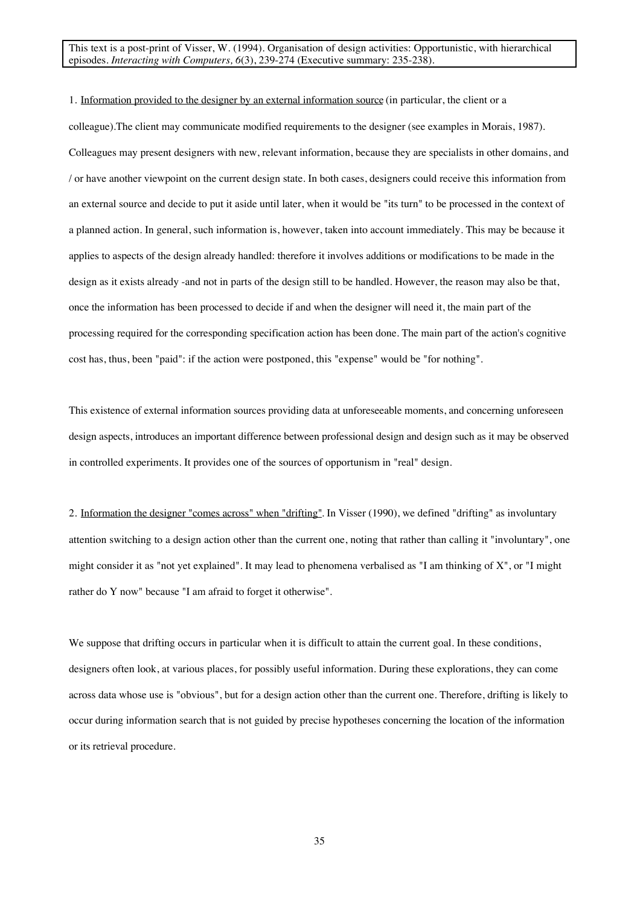#### 1. Information provided to the designer by an external information source (in particular, the client or a

colleague).The client may communicate modified requirements to the designer (see examples in Morais, 1987). Colleagues may present designers with new, relevant information, because they are specialists in other domains, and / or have another viewpoint on the current design state. In both cases, designers could receive this information from an external source and decide to put it aside until later, when it would be "its turn" to be processed in the context of a planned action. In general, such information is, however, taken into account immediately. This may be because it applies to aspects of the design already handled: therefore it involves additions or modifications to be made in the design as it exists already -and not in parts of the design still to be handled. However, the reason may also be that, once the information has been processed to decide if and when the designer will need it, the main part of the processing required for the corresponding specification action has been done. The main part of the action's cognitive cost has, thus, been "paid": if the action were postponed, this "expense" would be "for nothing".

This existence of external information sources providing data at unforeseeable moments, and concerning unforeseen design aspects, introduces an important difference between professional design and design such as it may be observed in controlled experiments. It provides one of the sources of opportunism in "real" design.

2. Information the designer "comes across" when "drifting" . In Visser (1990), we defined "drifting" as involuntary attention switching to a design action other than the current one, noting that rather than calling it "involuntary", one might consider it as "not yet explained". It may lead to phenomena verbalised as "I am thinking of X", or "I might rather do Y now" because "I am afraid to forget it otherwise".

We suppose that drifting occurs in particular when it is difficult to attain the current goal. In these conditions, designers often look, at various places, for possibly useful information. During these explorations, they can come across data whose use is "obvious", but for a design action other than the current one. Therefore, drifting is likely to occur during information search that is not guided by precise hypotheses concerning the location of the information or its retrieval procedure.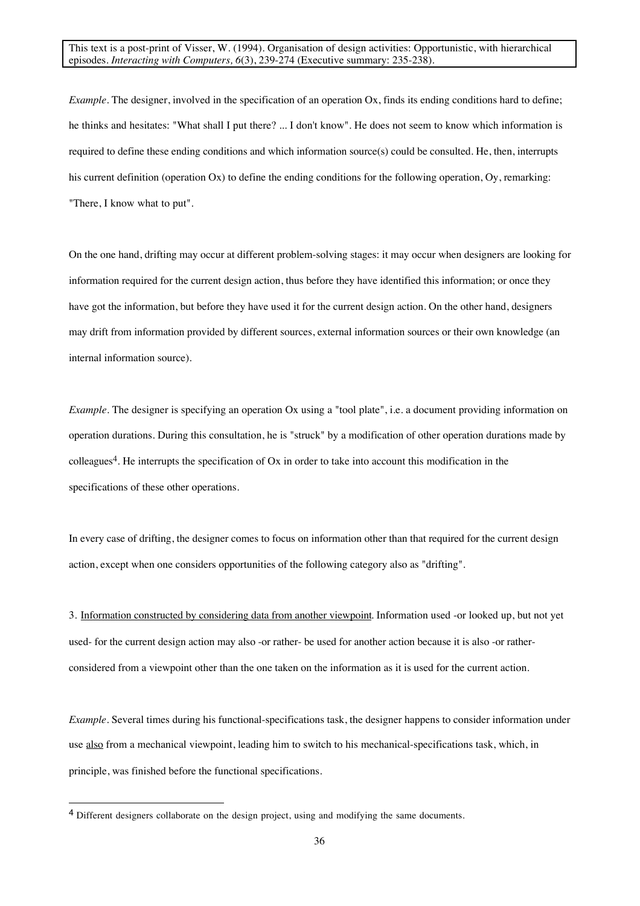*Example*. The designer, involved in the specification of an operation Ox, finds its ending conditions hard to define; he thinks and hesitates: "What shall I put there? ... I don't know". He does not seem to know which information is required to define these ending conditions and which information source(s) could be consulted. He, then, interrupts his current definition (operation Ox) to define the ending conditions for the following operation, Oy, remarking: "There, I know what to put".

On the one hand, drifting may occur at different problem-solving stages: it may occur when designers are looking for information required for the current design action, thus before they have identified this information; or once they have got the information, but before they have used it for the current design action. On the other hand, designers may drift from information provided by different sources, external information sources or their own knowledge (an internal information source).

*Example*. The designer is specifying an operation Ox using a "tool plate", i.e. a document providing information on operation durations. During this consultation, he is "struck" by a modification of other operation durations made by colleagues<sup>4</sup>. He interrupts the specification of  $Ox$  in order to take into account this modification in the specifications of these other operations.

In every case of drifting, the designer comes to focus on information other than that required for the current design action, except when one considers opportunities of the following category also as "drifting".

3. Information constructed by considering data from another viewpoint . Information used -or looked up, but not yet used- for the current design action may also -or rather- be used for another action because it is also -or ratherconsidered from a viewpoint other than the one taken on the information as it is used for the current action.

*Example*. Several times during his functional-specifications task, the designer happens to consider information under use also from a mechanical viewpoint, leading him to switch to his mechanical-specifications task, which, in principle, was finished before the functional specifications.

 $\overline{a}$ 

<sup>4</sup> Different designers collaborate on the design project, using and modifying the same documents.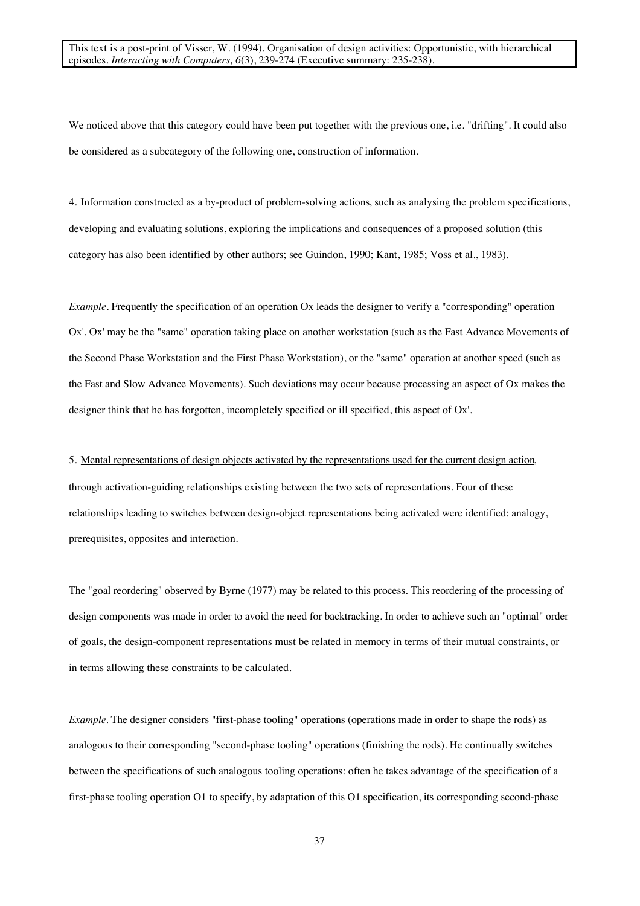We noticed above that this category could have been put together with the previous one, i.e. "drifting". It could also be considered as a subcategory of the following one, construction of information.

4. Information constructed as a by-product of problem-solving actions , such as analysing the problem specifications, developing and evaluating solutions, exploring the implications and consequences of a proposed solution (this category has also been identified by other authors; see Guindon, 1990; Kant, 1985; Voss et al., 1983).

*Example*. Frequently the specification of an operation Ox leads the designer to verify a "corresponding" operation Ox'. Ox' may be the "same" operation taking place on another workstation (such as the Fast Advance Movements of the Second Phase Workstation and the First Phase Workstation), or the "same" operation at another speed (such as the Fast and Slow Advance Movements). Such deviations may occur because processing an aspect of Ox makes the designer think that he has forgotten, incompletely specified or ill specified, this aspect of Ox'.

#### 5. Mental representations of design objects activated by the representations used for the current design action,

through activation-guiding relationships existing between the two sets of representations. Four of these relationships leading to switches between design-object representations being activated were identified: analogy, prerequisites, opposites and interaction.

The "goal reordering" observed by Byrne (1977) may be related to this process. This reordering of the processing of design components was made in order to avoid the need for backtracking. In order to achieve such an "optimal" order of goals, the design-component representations must be related in memory in terms of their mutual constraints, or in terms allowing these constraints to be calculated.

*Example*. The designer considers "first-phase tooling" operations (operations made in order to shape the rods) as analogous to their corresponding "second-phase tooling" operations (finishing the rods). He continually switches between the specifications of such analogous tooling operations: often he takes advantage of the specification of a first-phase tooling operation O1 to specify, by adaptation of this O1 specification, its corresponding second-phase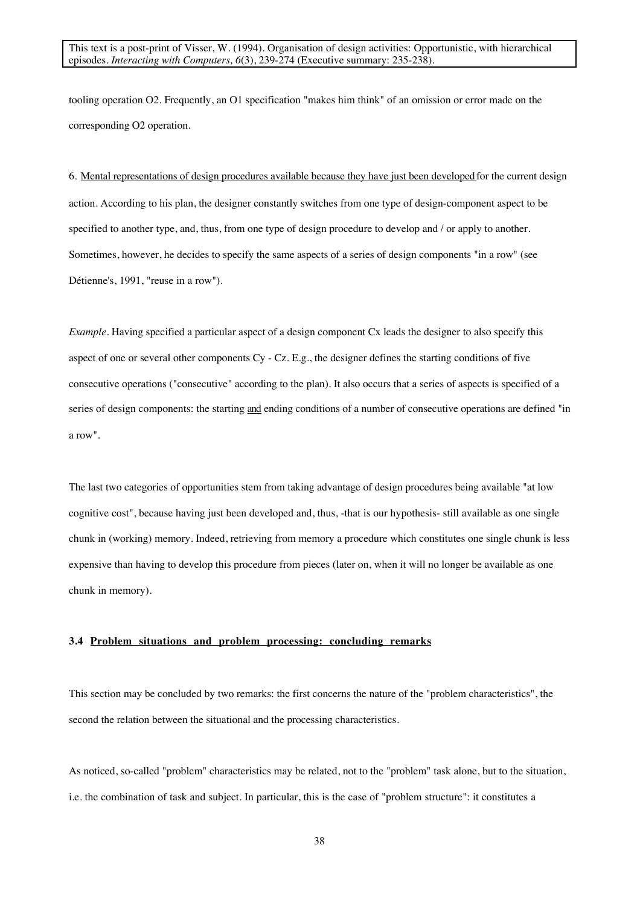tooling operation O2. Frequently, an O1 specification "makes him think" of an omission or error made on the corresponding O2 operation.

6. Mental representations of design procedures available because they have just been developed for the current design action. According to his plan, the designer constantly switches from one type of design-component aspect to be specified to another type, and, thus, from one type of design procedure to develop and / or apply to another. Sometimes, however, he decides to specify the same aspects of a series of design components "in a row" (see Détienne's, 1991, "reuse in a row").

*Example*. Having specified a particular aspect of a design component Cx leads the designer to also specify this aspect of one or several other components Cy - Cz. E.g., the designer defines the starting conditions of five consecutive operations ("consecutive" according to the plan). It also occurs that a series of aspects is specified of a series of design components: the starting and ending conditions of a number of consecutive operations are defined "in a row".

The last two categories of opportunities stem from taking advantage of design procedures being available "at low cognitive cost", because having just been developed and, thus, -that is our hypothesis- still available as one single chunk in (working) memory. Indeed, retrieving from memory a procedure which constitutes one single chunk is less expensive than having to develop this procedure from pieces (later on, when it will no longer be available as one chunk in memory).

### **3.4 Problem situations and problem processing: concluding remarks**

This section may be concluded by two remarks: the first concerns the nature of the "problem characteristics", the second the relation between the situational and the processing characteristics.

As noticed, so-called "problem" characteristics may be related, not to the "problem" task alone, but to the situation, i.e. the combination of task and subject. In particular, this is the case of "problem structure": it constitutes a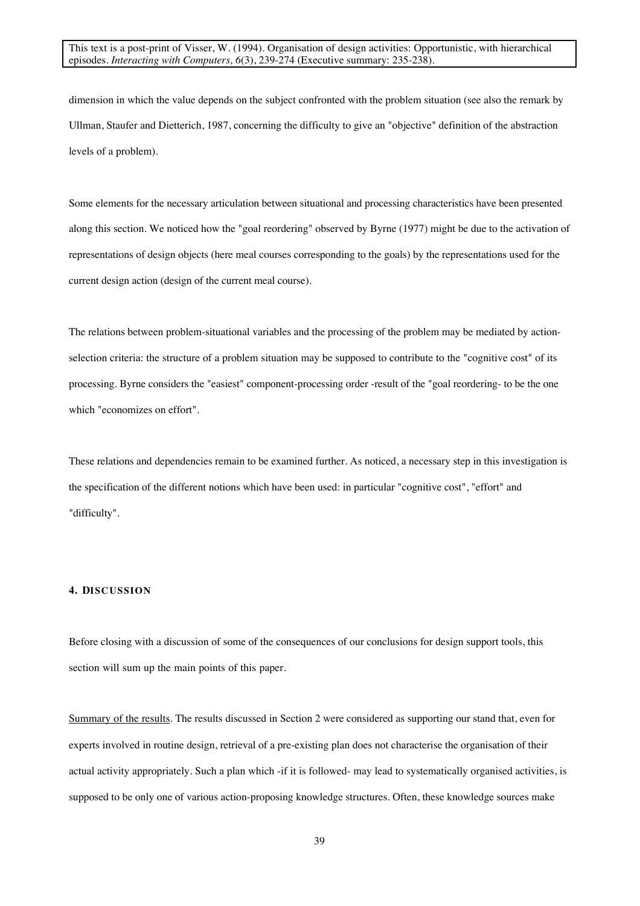dimension in which the value depends on the subject confronted with the problem situation (see also the remark by Ullman, Staufer and Dietterich, 1987, concerning the difficulty to give an "objective" definition of the abstraction levels of a problem).

Some elements for the necessary articulation between situational and processing characteristics have been presented along this section. We noticed how the "goal reordering" observed by Byrne (1977) might be due to the activation of representations of design objects (here meal courses corresponding to the goals) by the representations used for the current design action (design of the current meal course).

The relations between problem-situational variables and the processing of the problem may be mediated by actionselection criteria: the structure of a problem situation may be supposed to contribute to the "cognitive cost" of its processing. Byrne considers the "easiest" component-processing order -result of the "goal reordering- to be the one which "economizes on effort".

These relations and dependencies remain to be examined further. As noticed, a necessary step in this investigation is the specification of the different notions which have been used: in particular "cognitive cost", "effort" and "difficulty".

#### **4. DISCUSSION**

Before closing with a discussion of some of the consequences of our conclusions for design support tools, this section will sum up the main points of this paper.

Summary of the results . The results discussed in Section 2 were considered as supporting our stand that, even for experts involved in routine design, retrieval of a pre-existing plan does not characterise the organisation of their actual activity appropriately. Such a plan which -if it is followed- may lead to systematically organised activities, is supposed to be only one of various action-proposing knowledge structures. Often, these knowledge sources make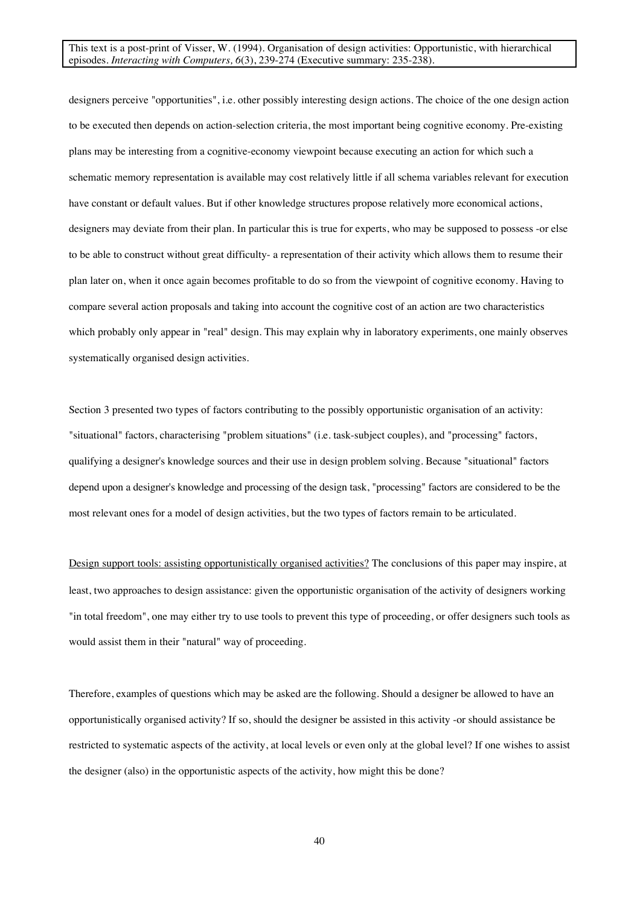designers perceive "opportunities", i.e. other possibly interesting design actions. The choice of the one design action to be executed then depends on action-selection criteria, the most important being cognitive economy. Pre-existing plans may be interesting from a cognitive-economy viewpoint because executing an action for which such a schematic memory representation is available may cost relatively little if all schema variables relevant for execution have constant or default values. But if other knowledge structures propose relatively more economical actions, designers may deviate from their plan. In particular this is true for experts, who may be supposed to possess -or else to be able to construct without great difficulty- a representation of their activity which allows them to resume their plan later on, when it once again becomes profitable to do so from the viewpoint of cognitive economy. Having to compare several action proposals and taking into account the cognitive cost of an action are two characteristics which probably only appear in "real" design. This may explain why in laboratory experiments, one mainly observes systematically organised design activities.

Section 3 presented two types of factors contributing to the possibly opportunistic organisation of an activity: "situational" factors, characterising "problem situations" (i.e. task-subject couples), and "processing" factors, qualifying a designer's knowledge sources and their use in design problem solving. Because "situational" factors depend upon a designer's knowledge and processing of the design task, "processing" factors are considered to be the most relevant ones for a model of design activities, but the two types of factors remain to be articulated.

Design support tools: assisting opportunistically organised activities? The conclusions of this paper may inspire, at least, two approaches to design assistance: given the opportunistic organisation of the activity of designers working "in total freedom", one may either try to use tools to prevent this type of proceeding, or offer designers such tools as would assist them in their "natural" way of proceeding.

Therefore, examples of questions which may be asked are the following. Should a designer be allowed to have an opportunistically organised activity? If so, should the designer be assisted in this activity -or should assistance be restricted to systematic aspects of the activity, at local levels or even only at the global level? If one wishes to assist the designer (also) in the opportunistic aspects of the activity, how might this be done?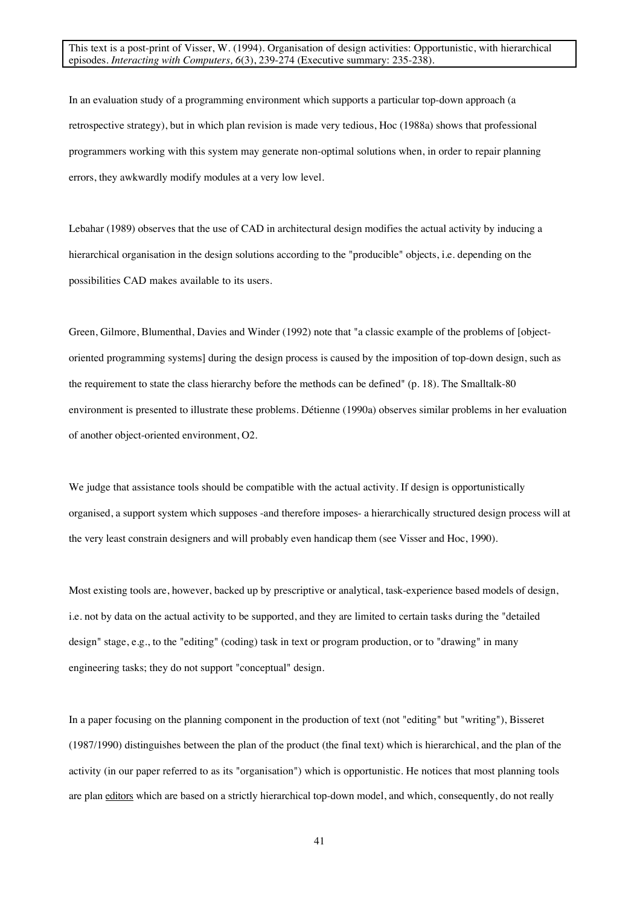In an evaluation study of a programming environment which supports a particular top-down approach (a retrospective strategy), but in which plan revision is made very tedious, Hoc (1988a) shows that professional programmers working with this system may generate non-optimal solutions when, in order to repair planning errors, they awkwardly modify modules at a very low level.

Lebahar (1989) observes that the use of CAD in architectural design modifies the actual activity by inducing a hierarchical organisation in the design solutions according to the "producible" objects, i.e. depending on the possibilities CAD makes available to its users.

Green, Gilmore, Blumenthal, Davies and Winder (1992) note that "a classic example of the problems of [objectoriented programming systems] during the design process is caused by the imposition of top-down design, such as the requirement to state the class hierarchy before the methods can be defined" (p. 18). The Smalltalk-80 environment is presented to illustrate these problems. Détienne (1990a) observes similar problems in her evaluation of another object-oriented environment, O2.

We judge that assistance tools should be compatible with the actual activity. If design is opportunistically organised, a support system which supposes -and therefore imposes- a hierarchically structured design process will at the very least constrain designers and will probably even handicap them (see Visser and Hoc, 1990).

Most existing tools are, however, backed up by prescriptive or analytical, task-experience based models of design, i.e. not by data on the actual activity to be supported, and they are limited to certain tasks during the "detailed design" stage, e.g., to the "editing" (coding) task in text or program production, or to "drawing" in many engineering tasks; they do not support "conceptual" design.

In a paper focusing on the planning component in the production of text (not "editing" but "writing"), Bisseret (1987/1990) distinguishes between the plan of the product (the final text) which is hierarchical, and the plan of the activity (in our paper referred to as its "organisation") which is opportunistic. He notices that most planning tools are plan editors which are based on a strictly hierarchical top-down model, and which, consequently, do not really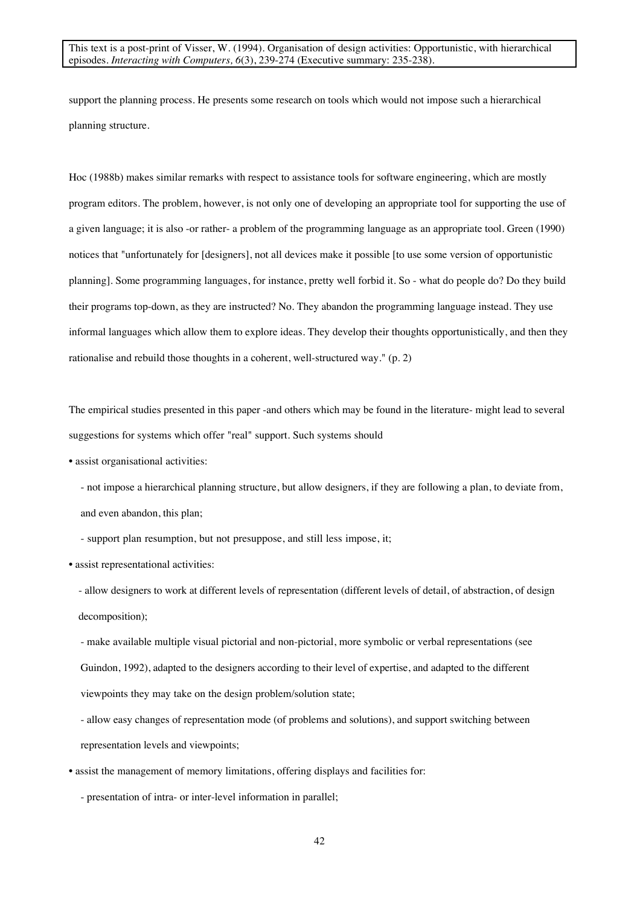support the planning process. He presents some research on tools which would not impose such a hierarchical planning structure.

Hoc (1988b) makes similar remarks with respect to assistance tools for software engineering, which are mostly program editors. The problem, however, is not only one of developing an appropriate tool for supporting the use of a given language; it is also -or rather- a problem of the programming language as an appropriate tool. Green (1990) notices that "unfortunately for [designers], not all devices make it possible [to use some version of opportunistic planning]. Some programming languages, for instance, pretty well forbid it. So - what do people do? Do they build their programs top-down, as they are instructed? No. They abandon the programming language instead. They use informal languages which allow them to explore ideas. They develop their thoughts opportunistically, and then they rationalise and rebuild those thoughts in a coherent, well-structured way." (p. 2)

The empirical studies presented in this paper -and others which may be found in the literature- might lead to several suggestions for systems which offer "real" support. Such systems should

• assist organisational activities:

- not impose a hierarchical planning structure, but allow designers, if they are following a plan, to deviate from, and even abandon, this plan;

- support plan resumption, but not presuppose, and still less impose, it;

• assist representational activities:

- allow designers to work at different levels of representation (different levels of detail, of abstraction, of design decomposition);

- make available multiple visual pictorial and non-pictorial, more symbolic or verbal representations (see Guindon, 1992), adapted to the designers according to their level of expertise, and adapted to the different viewpoints they may take on the design problem/solution state;

- allow easy changes of representation mode (of problems and solutions), and support switching between representation levels and viewpoints;

• assist the management of memory limitations, offering displays and facilities for:

- presentation of intra- or inter-level information in parallel;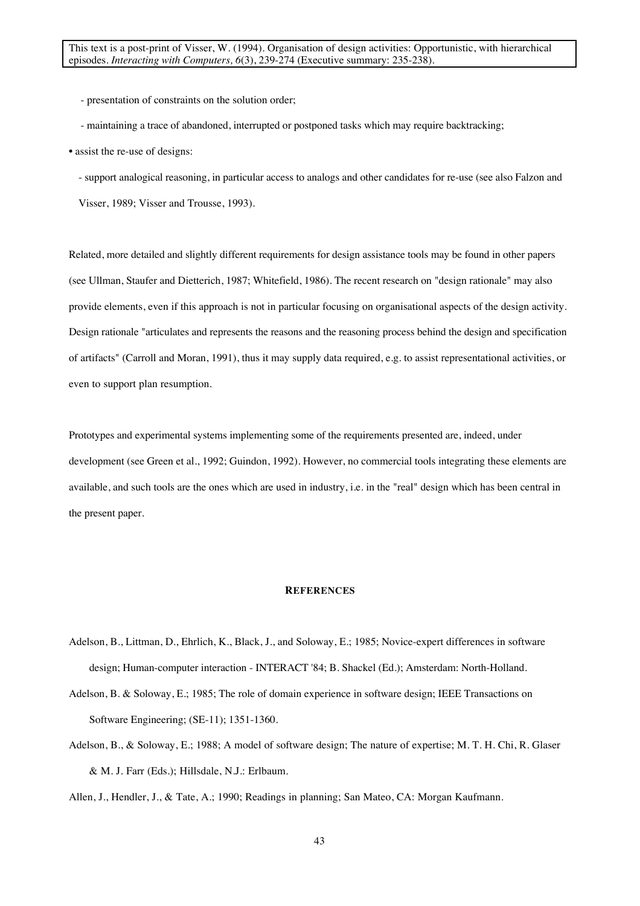- presentation of constraints on the solution order;
- maintaining a trace of abandoned, interrupted or postponed tasks which may require backtracking;
- assist the re-use of designs:

- support analogical reasoning, in particular access to analogs and other candidates for re-use (see also Falzon and Visser, 1989; Visser and Trousse, 1993).

Related, more detailed and slightly different requirements for design assistance tools may be found in other papers (see Ullman, Staufer and Dietterich, 1987; Whitefield, 1986). The recent research on "design rationale" may also provide elements, even if this approach is not in particular focusing on organisational aspects of the design activity. Design rationale "articulates and represents the reasons and the reasoning process behind the design and specification of artifacts" (Carroll and Moran, 1991), thus it may supply data required, e.g. to assist representational activities, or even to support plan resumption.

Prototypes and experimental systems implementing some of the requirements presented are, indeed, under development (see Green et al., 1992; Guindon, 1992). However, no commercial tools integrating these elements are available, and such tools are the ones which are used in industry, i.e. in the "real" design which has been central in the present paper.

#### **REFERENCES**

- Adelson, B., Littman, D., Ehrlich, K., Black, J., and Soloway, E.; 1985; Novice-expert differences in software design; Human-computer interaction - INTERACT '84; B. Shackel (Ed.); Amsterdam: North-Holland.
- Adelson, B. & Soloway, E.; 1985; The role of domain experience in software design; IEEE Transactions on Software Engineering; (SE-11); 1351-1360.
- Adelson, B., & Soloway, E.; 1988; A model of software design; The nature of expertise; M. T. H. Chi, R. Glaser & M. J. Farr (Eds.); Hillsdale, N.J.: Erlbaum.

Allen, J., Hendler, J., & Tate, A.; 1990; Readings in planning; San Mateo, CA: Morgan Kaufmann.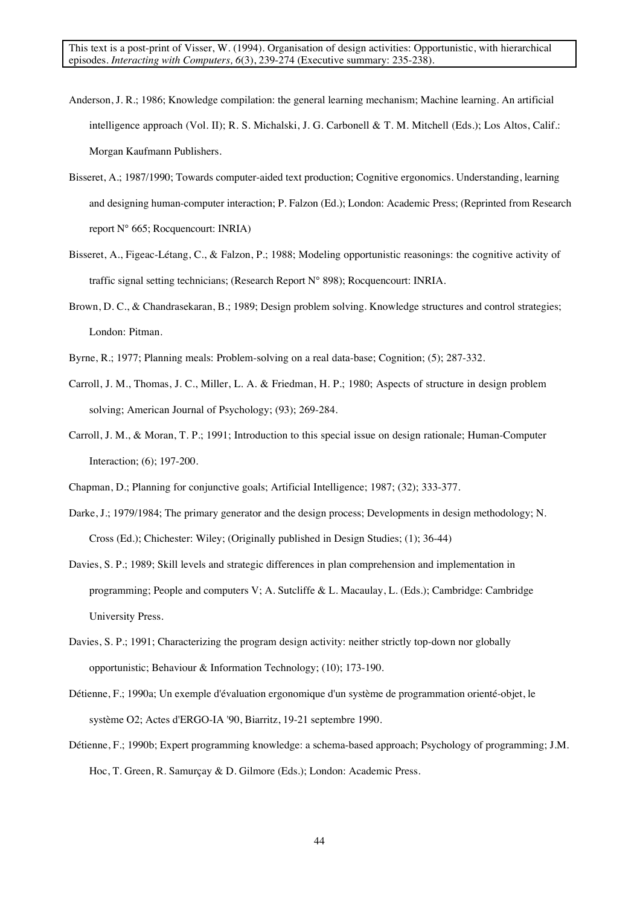- Anderson, J. R.; 1986; Knowledge compilation: the general learning mechanism; Machine learning. An artificial intelligence approach (Vol. II); R. S. Michalski, J. G. Carbonell & T. M. Mitchell (Eds.); Los Altos, Calif.: Morgan Kaufmann Publishers.
- Bisseret, A.; 1987/1990; Towards computer-aided text production; Cognitive ergonomics. Understanding, learning and designing human-computer interaction; P. Falzon (Ed.); London: Academic Press; (Reprinted from Research report N° 665; Rocquencourt: INRIA)
- Bisseret, A., Figeac-Létang, C., & Falzon, P.; 1988; Modeling opportunistic reasonings: the cognitive activity of traffic signal setting technicians; (Research Report N° 898); Rocquencourt: INRIA.
- Brown, D. C., & Chandrasekaran, B.; 1989; Design problem solving. Knowledge structures and control strategies; London: Pitman.
- Byrne, R.; 1977; Planning meals: Problem-solving on a real data-base; Cognition; (5); 287-332.
- Carroll, J. M., Thomas, J. C., Miller, L. A. & Friedman, H. P.; 1980; Aspects of structure in design problem solving; American Journal of Psychology; (93); 269-284.
- Carroll, J. M., & Moran, T. P.; 1991; Introduction to this special issue on design rationale; Human-Computer Interaction; (6); 197-200.
- Chapman, D.; Planning for conjunctive goals; Artificial Intelligence; 1987; (32); 333-377.
- Darke, J.; 1979/1984; The primary generator and the design process; Developments in design methodology; N. Cross (Ed.); Chichester: Wiley; (Originally published in Design Studies; (1); 36-44)
- Davies, S. P.; 1989; Skill levels and strategic differences in plan comprehension and implementation in programming; People and computers V; A. Sutcliffe & L. Macaulay, L. (Eds.); Cambridge: Cambridge University Press.
- Davies, S. P.; 1991; Characterizing the program design activity: neither strictly top-down nor globally opportunistic; Behaviour & Information Technology; (10); 173-190.
- Détienne, F.; 1990a; Un exemple d'évaluation ergonomique d'un système de programmation orienté-objet, le système O2; Actes d'ERGO-IA '90, Biarritz, 19-21 septembre 1990.
- Détienne, F.; 1990b; Expert programming knowledge: a schema-based approach; Psychology of programming; J.M. Hoc, T. Green, R. Samurçay & D. Gilmore (Eds.); London: Academic Press.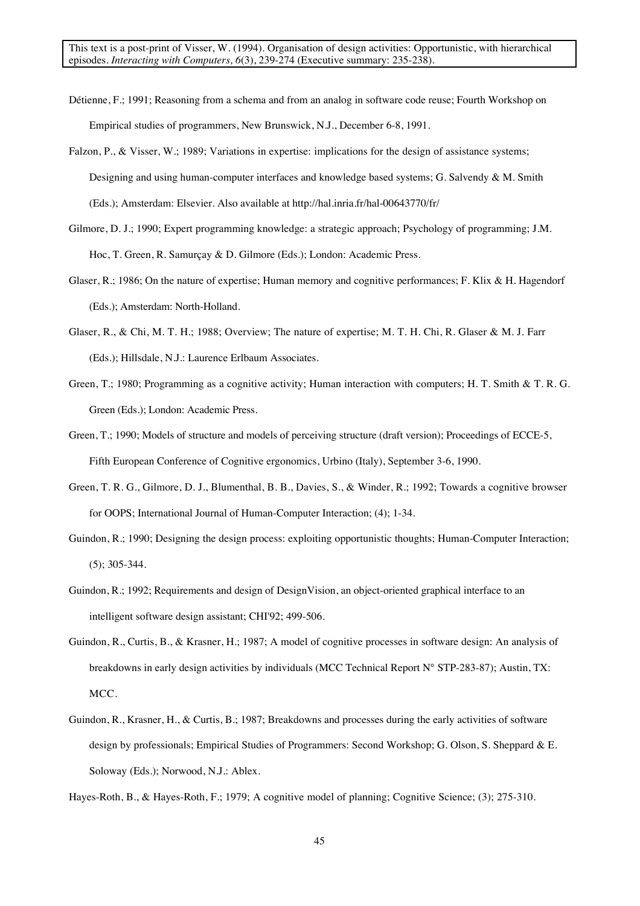- Détienne, F.; 1991; Reasoning from a schema and from an analog in software code reuse; Fourth Workshop on Empirical studies of programmers, New Brunswick, N.J., December 6-8, 1991.
- Falzon, P., & Visser, W.; 1989; Variations in expertise: implications for the design of assistance systems; Designing and using human-computer interfaces and knowledge based systems; G. Salvendy & M. Smith (Eds.); Amsterdam: Elsevier. Also available at http://hal.inria.fr/hal-00643770/fr/
- Gilmore, D. J.; 1990; Expert programming knowledge: a strategic approach; Psychology of programming; J.M. Hoc, T. Green, R. Samurçay & D. Gilmore (Eds.); London: Academic Press.
- Glaser, R.; 1986; On the nature of expertise; Human memory and cognitive performances; F. Klix & H. Hagendorf (Eds.); Amsterdam: North-Holland.
- Glaser, R., & Chi, M. T. H.; 1988; Overview; The nature of expertise; M. T. H. Chi, R. Glaser & M. J. Farr (Eds.); Hillsdale, N.J.: Laurence Erlbaum Associates.
- Green, T.; 1980; Programming as a cognitive activity; Human interaction with computers; H. T. Smith & T. R. G. Green (Eds.); London: Academic Press.
- Green, T.; 1990; Models of structure and models of perceiving structure (draft version); Proceedings of ECCE-5, Fifth European Conference of Cognitive ergonomics, Urbino (Italy), September 3-6, 1990.
- Green, T. R. G., Gilmore, D. J., Blumenthal, B. B., Davies, S., & Winder, R.; 1992; Towards a cognitive browser for OOPS; International Journal of Human-Computer Interaction; (4); 1-34.
- Guindon, R.; 1990; Designing the design process: exploiting opportunistic thoughts; Human-Computer Interaction; (5); 305-344.
- Guindon, R.; 1992; Requirements and design of DesignVision, an object-oriented graphical interface to an intelligent software design assistant; CHI'92; 499-506.
- Guindon, R., Curtis, B., & Krasner, H.; 1987; A model of cognitive processes in software design: An analysis of breakdowns in early design activities by individuals (MCC Technical Report N° STP-283-87); Austin, TX: MCC.
- Guindon, R., Krasner, H., & Curtis, B.; 1987; Breakdowns and processes during the early activities of software design by professionals; Empirical Studies of Programmers: Second Workshop; G. Olson, S. Sheppard & E. Soloway (Eds.); Norwood, N.J.: Ablex.

Hayes-Roth, B., & Hayes-Roth, F.; 1979; A cognitive model of planning; Cognitive Science; (3); 275-310.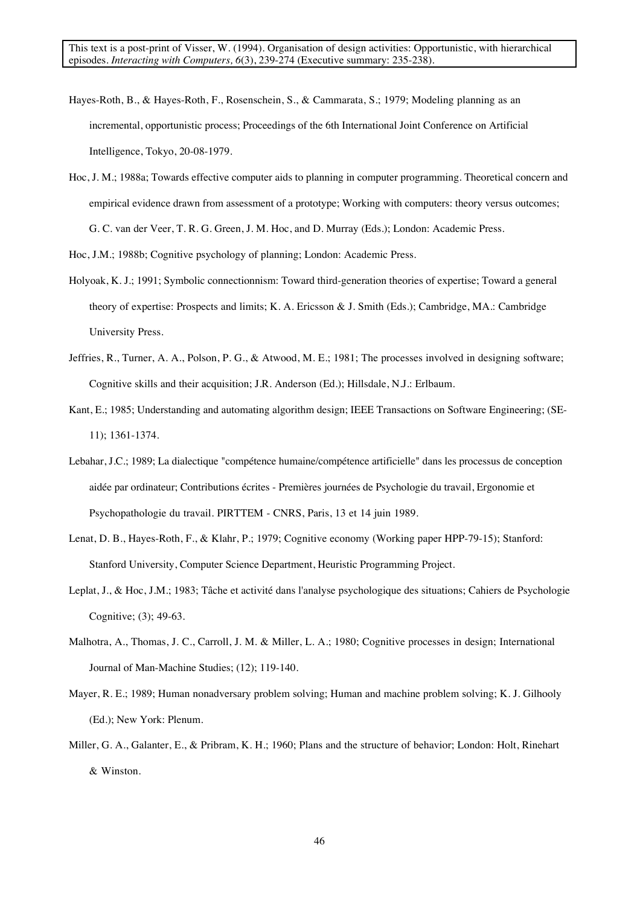- Hayes-Roth, B., & Hayes-Roth, F., Rosenschein, S., & Cammarata, S.; 1979; Modeling planning as an incremental, opportunistic process; Proceedings of the 6th International Joint Conference on Artificial Intelligence, Tokyo, 20-08-1979.
- Hoc, J. M.; 1988a; Towards effective computer aids to planning in computer programming. Theoretical concern and empirical evidence drawn from assessment of a prototype; Working with computers: theory versus outcomes; G. C. van der Veer, T. R. G. Green, J. M. Hoc, and D. Murray (Eds.); London: Academic Press.
- Hoc, J.M.; 1988b; Cognitive psychology of planning; London: Academic Press.
- Holyoak, K. J.; 1991; Symbolic connectionnism: Toward third-generation theories of expertise; Toward a general theory of expertise: Prospects and limits; K. A. Ericsson & J. Smith (Eds.); Cambridge, MA.: Cambridge University Press.
- Jeffries, R., Turner, A. A., Polson, P. G., & Atwood, M. E.; 1981; The processes involved in designing software; Cognitive skills and their acquisition; J.R. Anderson (Ed.); Hillsdale, N.J.: Erlbaum.
- Kant, E.; 1985; Understanding and automating algorithm design; IEEE Transactions on Software Engineering; (SE-11); 1361-1374.
- Lebahar, J.C.; 1989; La dialectique "compétence humaine/compétence artificielle" dans les processus de conception aidée par ordinateur; Contributions écrites - Premières journées de Psychologie du travail, Ergonomie et Psychopathologie du travail. PIRTTEM - CNRS, Paris, 13 et 14 juin 1989.
- Lenat, D. B., Hayes-Roth, F., & Klahr, P.; 1979; Cognitive economy (Working paper HPP-79-15); Stanford: Stanford University, Computer Science Department, Heuristic Programming Project.
- Leplat, J., & Hoc, J.M.; 1983; Tâche et activité dans l'analyse psychologique des situations; Cahiers de Psychologie Cognitive; (3); 49-63.
- Malhotra, A., Thomas, J. C., Carroll, J. M. & Miller, L. A.; 1980; Cognitive processes in design; International Journal of Man-Machine Studies; (12); 119-140.
- Mayer, R. E.; 1989; Human nonadversary problem solving; Human and machine problem solving; K. J. Gilhooly (Ed.); New York: Plenum.
- Miller, G. A., Galanter, E., & Pribram, K. H.; 1960; Plans and the structure of behavior; London: Holt, Rinehart & Winston.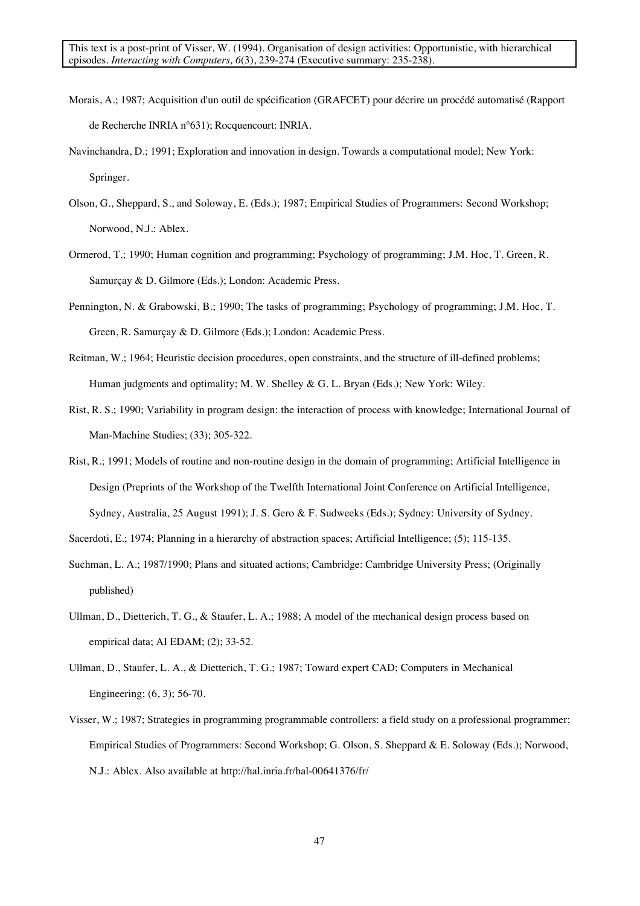- Morais, A.; 1987; Acquisition d'un outil de spécification (GRAFCET) pour décrire un procédé automatisé (Rapport de Recherche INRIA n°631); Rocquencourt: INRIA.
- Navinchandra, D.; 1991; Exploration and innovation in design. Towards a computational model; New York: Springer.
- Olson, G., Sheppard, S., and Soloway, E. (Eds.); 1987; Empirical Studies of Programmers: Second Workshop; Norwood, N.J.: Ablex.
- Ormerod, T.; 1990; Human cognition and programming; Psychology of programming; J.M. Hoc, T. Green, R. Samurçay & D. Gilmore (Eds.); London: Academic Press.
- Pennington, N. & Grabowski, B.; 1990; The tasks of programming; Psychology of programming; J.M. Hoc, T. Green, R. Samurçay & D. Gilmore (Eds.); London: Academic Press.
- Reitman, W.; 1964; Heuristic decision procedures, open constraints, and the structure of ill-defined problems; Human judgments and optimality; M. W. Shelley & G. L. Bryan (Eds.); New York: Wiley.
- Rist, R. S.; 1990; Variability in program design: the interaction of process with knowledge; International Journal of Man-Machine Studies; (33); 305-322.
- Rist, R.; 1991; Models of routine and non-routine design in the domain of programming; Artificial Intelligence in Design (Preprints of the Workshop of the Twelfth International Joint Conference on Artificial Intelligence, Sydney, Australia, 25 August 1991); J. S. Gero & F. Sudweeks (Eds.); Sydney: University of Sydney.
- Sacerdoti, E.; 1974; Planning in a hierarchy of abstraction spaces; Artificial Intelligence; (5); 115-135.
- Suchman, L. A.; 1987/1990; Plans and situated actions; Cambridge: Cambridge University Press; (Originally published)
- Ullman, D., Dietterich, T. G., & Staufer, L. A.; 1988; A model of the mechanical design process based on empirical data; AI EDAM; (2); 33-52.
- Ullman, D., Staufer, L. A., & Dietterich, T. G.; 1987; Toward expert CAD; Computers in Mechanical Engineering; (6, 3); 56-70.
- Visser, W.; 1987; Strategies in programming programmable controllers: a field study on a professional programmer; Empirical Studies of Programmers: Second Workshop; G. Olson, S. Sheppard & E. Soloway (Eds.); Norwood, N.J.: Ablex. Also available at http://hal.inria.fr/hal-00641376/fr/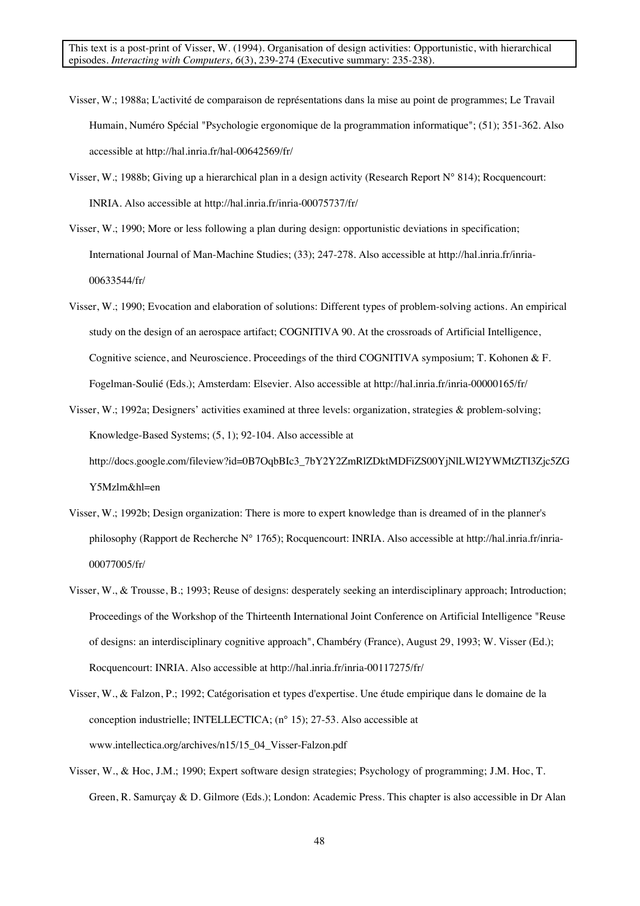- Visser, W.; 1988a; L'activité de comparaison de représentations dans la mise au point de programmes; Le Travail Humain, Numéro Spécial "Psychologie ergonomique de la programmation informatique"; (51); 351-362. Also accessible at http://hal.inria.fr/hal-00642569/fr/
- Visser, W.; 1988b; Giving up a hierarchical plan in a design activity (Research Report N° 814); Rocquencourt: INRIA. Also accessible at http://hal.inria.fr/inria-00075737/fr/
- Visser, W.; 1990; More or less following a plan during design: opportunistic deviations in specification; International Journal of Man-Machine Studies; (33); 247-278. Also accessible at http://hal.inria.fr/inria-00633544/fr/
- Visser, W.; 1990; Evocation and elaboration of solutions: Different types of problem-solving actions. An empirical study on the design of an aerospace artifact; COGNITIVA 90. At the crossroads of Artificial Intelligence, Cognitive science, and Neuroscience. Proceedings of the third COGNITIVA symposium; T. Kohonen & F. Fogelman-Soulié (Eds.); Amsterdam: Elsevier. Also accessible at http://hal.inria.fr/inria-00000165/fr/
- Visser, W.; 1992a; Designers' activities examined at three levels: organization, strategies & problem-solving; Knowledge-Based Systems; (5, 1); 92-104. Also accessible at http://docs.google.com/fileview?id=0B7OqbBIc3\_7bY2Y2ZmRlZDktMDFiZS00YjNlLWI2YWMtZTI3Zjc5ZG Y5Mzlm&hl=en
- Visser, W.; 1992b; Design organization: There is more to expert knowledge than is dreamed of in the planner's philosophy (Rapport de Recherche N° 1765); Rocquencourt: INRIA. Also accessible at http://hal.inria.fr/inria-00077005/fr/
- Visser, W., & Trousse, B.; 1993; Reuse of designs: desperately seeking an interdisciplinary approach; Introduction; Proceedings of the Workshop of the Thirteenth International Joint Conference on Artificial Intelligence "Reuse of designs: an interdisciplinary cognitive approach", Chambéry (France), August 29, 1993; W. Visser (Ed.); Rocquencourt: INRIA. Also accessible at http://hal.inria.fr/inria-00117275/fr/
- Visser, W., & Falzon, P.; 1992; Catégorisation et types d'expertise. Une étude empirique dans le domaine de la conception industrielle; INTELLECTICA; (n° 15); 27-53. Also accessible at www.intellectica.org/archives/n15/15\_04\_Visser-Falzon.pdf
- Visser, W., & Hoc, J.M.; 1990; Expert software design strategies; Psychology of programming; J.M. Hoc, T. Green, R. Samurçay & D. Gilmore (Eds.); London: Academic Press. This chapter is also accessible in Dr Alan